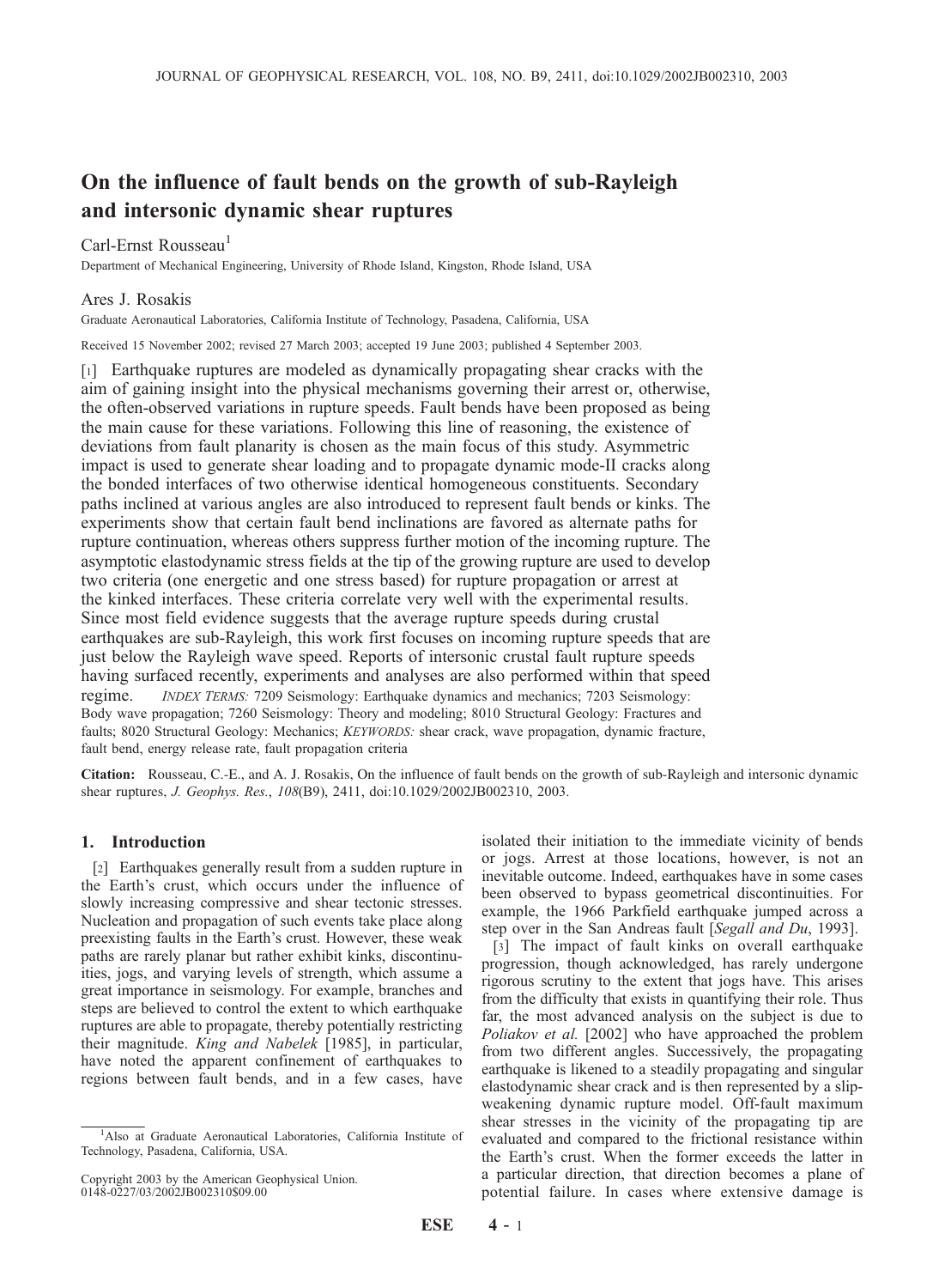# On the influence of fault bends on the growth of sub-Rayleigh and intersonic dynamic shear ruptures

Carl-Ernst Rousseau<sup>1</sup>

Department of Mechanical Engineering, University of Rhode Island, Kingston, Rhode Island, USA

# Ares J. Rosakis

Graduate Aeronautical Laboratories, California Institute of Technology, Pasadena, California, USA

Received 15 November 2002; revised 27 March 2003; accepted 19 June 2003; published 4 September 2003.

[1] Earthquake ruptures are modeled as dynamically propagating shear cracks with the aim of gaining insight into the physical mechanisms governing their arrest or, otherwise, the often-observed variations in rupture speeds. Fault bends have been proposed as being the main cause for these variations. Following this line of reasoning, the existence of deviations from fault planarity is chosen as the main focus of this study. Asymmetric impact is used to generate shear loading and to propagate dynamic mode-II cracks along the bonded interfaces of two otherwise identical homogeneous constituents. Secondary paths inclined at various angles are also introduced to represent fault bends or kinks. The experiments show that certain fault bend inclinations are favored as alternate paths for rupture continuation, whereas others suppress further motion of the incoming rupture. The asymptotic elastodynamic stress fields at the tip of the growing rupture are used to develop two criteria (one energetic and one stress based) for rupture propagation or arrest at the kinked interfaces. These criteria correlate very well with the experimental results. Since most field evidence suggests that the average rupture speeds during crustal earthquakes are sub-Rayleigh, this work first focuses on incoming rupture speeds that are just below the Rayleigh wave speed. Reports of intersonic crustal fault rupture speeds having surfaced recently, experiments and analyses are also performed within that speed regime. *INDEX TERMS:* 7209 Seismology: Earthquake dynamics and mechanics; 7203 Seismology: Body wave propagation; 7260 Seismology: Theory and modeling; 8010 Structural Geology: Fractures and faults; 8020 Structural Geology: Mechanics; KEYWORDS: shear crack, wave propagation, dynamic fracture, fault bend, energy release rate, fault propagation criteria

Citation: Rousseau, C.-E., and A. J. Rosakis, On the influence of fault bends on the growth of sub-Rayleigh and intersonic dynamic shear ruptures, J. Geophys. Res., 108(B9), 2411, doi:10.1029/2002JB002310, 2003.

# 1. Introduction

[2] Earthquakes generally result from a sudden rupture in the Earth's crust, which occurs under the influence of slowly increasing compressive and shear tectonic stresses. Nucleation and propagation of such events take place along preexisting faults in the Earth's crust. However, these weak paths are rarely planar but rather exhibit kinks, discontinuities, jogs, and varying levels of strength, which assume a great importance in seismology. For example, branches and steps are believed to control the extent to which earthquake ruptures are able to propagate, thereby potentially restricting their magnitude. King and Nabelek [1985], in particular, have noted the apparent confinement of earthquakes to regions between fault bends, and in a few cases, have

isolated their initiation to the immediate vicinity of bends or jogs. Arrest at those locations, however, is not an inevitable outcome. Indeed, earthquakes have in some cases been observed to bypass geometrical discontinuities. For example, the 1966 Parkfield earthquake jumped across a step over in the San Andreas fault [Segall and Du, 1993].

[3] The impact of fault kinks on overall earthquake progression, though acknowledged, has rarely undergone rigorous scrutiny to the extent that jogs have. This arises from the difficulty that exists in quantifying their role. Thus far, the most advanced analysis on the subject is due to Poliakov et al. [2002] who have approached the problem from two different angles. Successively, the propagating earthquake is likened to a steadily propagating and singular elastodynamic shear crack and is then represented by a slipweakening dynamic rupture model. Off-fault maximum shear stresses in the vicinity of the propagating tip are evaluated and compared to the frictional resistance within the Earth's crust. When the former exceeds the latter in a particular direction, that direction becomes a plane of potential failure. In cases where extensive damage is

<sup>&</sup>lt;sup>1</sup>Also at Graduate Aeronautical Laboratories, California Institute of Technology, Pasadena, California, USA.

Copyright 2003 by the American Geophysical Union. 0148-0227/03/2002JB002310\$09.00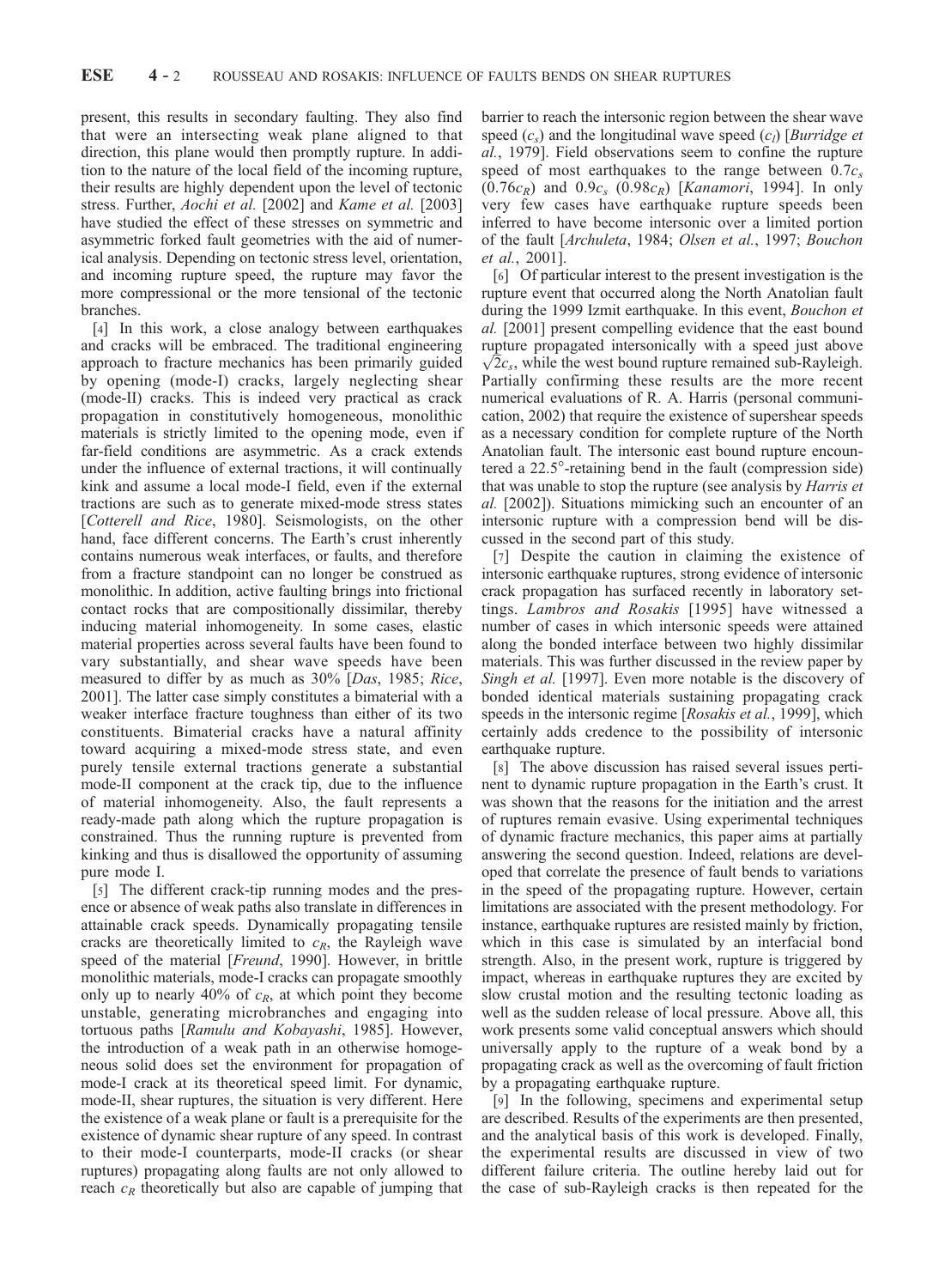present, this results in secondary faulting. They also find that were an intersecting weak plane aligned to that direction, this plane would then promptly rupture. In addition to the nature of the local field of the incoming rupture, their results are highly dependent upon the level of tectonic stress. Further, Aochi et al. [2002] and Kame et al. [2003] have studied the effect of these stresses on symmetric and asymmetric forked fault geometries with the aid of numerical analysis. Depending on tectonic stress level, orientation, and incoming rupture speed, the rupture may favor the more compressional or the more tensional of the tectonic branches.

[4] In this work, a close analogy between earthquakes and cracks will be embraced. The traditional engineering approach to fracture mechanics has been primarily guided by opening (mode-I) cracks, largely neglecting shear (mode-II) cracks. This is indeed very practical as crack propagation in constitutively homogeneous, monolithic materials is strictly limited to the opening mode, even if far-field conditions are asymmetric. As a crack extends under the influence of external tractions, it will continually kink and assume a local mode-I field, even if the external tractions are such as to generate mixed-mode stress states [Cotterell and Rice, 1980]. Seismologists, on the other hand, face different concerns. The Earth's crust inherently contains numerous weak interfaces, or faults, and therefore from a fracture standpoint can no longer be construed as monolithic. In addition, active faulting brings into frictional contact rocks that are compositionally dissimilar, thereby inducing material inhomogeneity. In some cases, elastic material properties across several faults have been found to vary substantially, and shear wave speeds have been measured to differ by as much as 30% [Das, 1985; Rice, 2001]. The latter case simply constitutes a bimaterial with a weaker interface fracture toughness than either of its two constituents. Bimaterial cracks have a natural affinity toward acquiring a mixed-mode stress state, and even purely tensile external tractions generate a substantial mode-II component at the crack tip, due to the influence of material inhomogeneity. Also, the fault represents a ready-made path along which the rupture propagation is constrained. Thus the running rupture is prevented from kinking and thus is disallowed the opportunity of assuming pure mode I.

[5] The different crack-tip running modes and the presence or absence of weak paths also translate in differences in attainable crack speeds. Dynamically propagating tensile cracks are theoretically limited to  $c_R$ , the Rayleigh wave speed of the material [Freund, 1990]. However, in brittle monolithic materials, mode-I cracks can propagate smoothly only up to nearly 40% of  $c_R$ , at which point they become unstable, generating microbranches and engaging into tortuous paths [Ramulu and Kobayashi, 1985]. However, the introduction of a weak path in an otherwise homogeneous solid does set the environment for propagation of mode-I crack at its theoretical speed limit. For dynamic, mode-II, shear ruptures, the situation is very different. Here the existence of a weak plane or fault is a prerequisite for the existence of dynamic shear rupture of any speed. In contrast to their mode-I counterparts, mode-II cracks (or shear ruptures) propagating along faults are not only allowed to reach  $c_R$  theoretically but also are capable of jumping that

barrier to reach the intersonic region between the shear wave speed  $(c_s)$  and the longitudinal wave speed  $(c_l)$  [Burridge et al., 1979]. Field observations seem to confine the rupture speed of most earthquakes to the range between  $0.7c_s$  $(0.76c_R)$  and  $0.9c_s$   $(0.98c_R)$  [*Kanamori*, 1994]. In only very few cases have earthquake rupture speeds been inferred to have become intersonic over a limited portion of the fault [Archuleta, 1984; Olsen et al., 1997; Bouchon et al., 2001].

[6] Of particular interest to the present investigation is the rupture event that occurred along the North Anatolian fault during the 1999 Izmit earthquake. In this event, Bouchon et al. [2001] present compelling evidence that the east bound rupture propagated intersonically with a speed just above rupture propagated intersonically with a speed just above  $\sqrt{2}c_s$ , while the west bound rupture remained sub-Rayleigh. Partially confirming these results are the more recent numerical evaluations of R. A. Harris (personal communication, 2002) that require the existence of supershear speeds as a necessary condition for complete rupture of the North Anatolian fault. The intersonic east bound rupture encountered a  $22.5^{\circ}$ -retaining bend in the fault (compression side) that was unable to stop the rupture (see analysis by *Harris et* al. [2002]). Situations mimicking such an encounter of an intersonic rupture with a compression bend will be discussed in the second part of this study.

[7] Despite the caution in claiming the existence of intersonic earthquake ruptures, strong evidence of intersonic crack propagation has surfaced recently in laboratory settings. Lambros and Rosakis [1995] have witnessed a number of cases in which intersonic speeds were attained along the bonded interface between two highly dissimilar materials. This was further discussed in the review paper by Singh et al. [1997]. Even more notable is the discovery of bonded identical materials sustaining propagating crack speeds in the intersonic regime [Rosakis et al., 1999], which certainly adds credence to the possibility of intersonic earthquake rupture.

[8] The above discussion has raised several issues pertinent to dynamic rupture propagation in the Earth's crust. It was shown that the reasons for the initiation and the arrest of ruptures remain evasive. Using experimental techniques of dynamic fracture mechanics, this paper aims at partially answering the second question. Indeed, relations are developed that correlate the presence of fault bends to variations in the speed of the propagating rupture. However, certain limitations are associated with the present methodology. For instance, earthquake ruptures are resisted mainly by friction, which in this case is simulated by an interfacial bond strength. Also, in the present work, rupture is triggered by impact, whereas in earthquake ruptures they are excited by slow crustal motion and the resulting tectonic loading as well as the sudden release of local pressure. Above all, this work presents some valid conceptual answers which should universally apply to the rupture of a weak bond by a propagating crack as well as the overcoming of fault friction by a propagating earthquake rupture.

[9] In the following, specimens and experimental setup are described. Results of the experiments are then presented, and the analytical basis of this work is developed. Finally, the experimental results are discussed in view of two different failure criteria. The outline hereby laid out for the case of sub-Rayleigh cracks is then repeated for the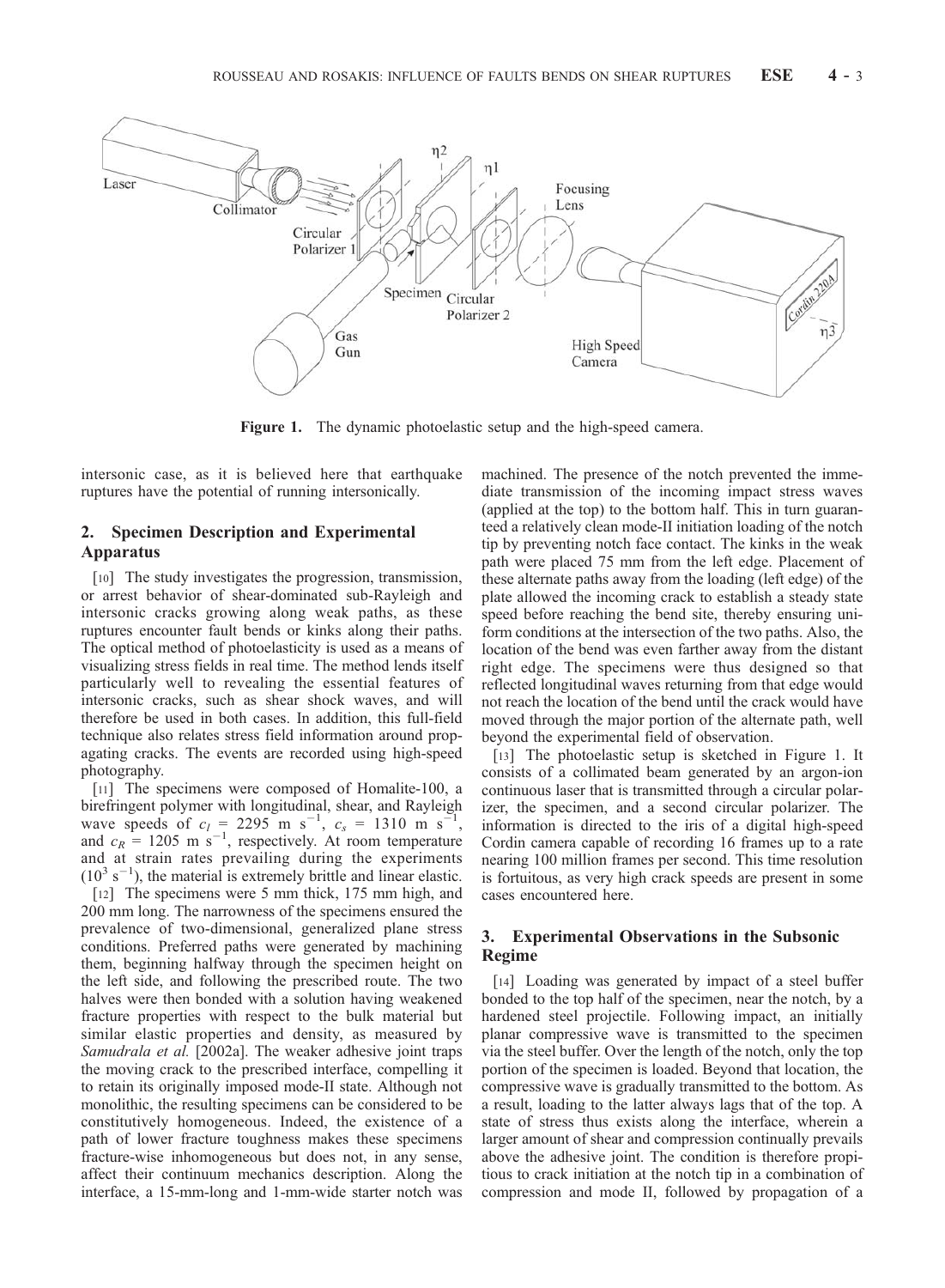

Figure 1. The dynamic photoelastic setup and the high-speed camera.

intersonic case, as it is believed here that earthquake ruptures have the potential of running intersonically.

# 2. Specimen Description and Experimental Apparatus

[10] The study investigates the progression, transmission, or arrest behavior of shear-dominated sub-Rayleigh and intersonic cracks growing along weak paths, as these ruptures encounter fault bends or kinks along their paths. The optical method of photoelasticity is used as a means of visualizing stress fields in real time. The method lends itself particularly well to revealing the essential features of intersonic cracks, such as shear shock waves, and will therefore be used in both cases. In addition, this full-field technique also relates stress field information around propagating cracks. The events are recorded using high-speed photography.

[11] The specimens were composed of Homalite-100, a birefringent polymer with longitudinal, shear, and Rayleigh wave speeds of  $c_l = 2295 \text{ m s}^{-1}$ ,  $c_s = 1310 \text{ m s}^{-1}$ , and  $c_R = 1205$  m s<sup>-1</sup>, respectively. At room temperature and at strain rates prevailing during the experiments  $(10^3 \text{ s}^{-1})$ , the material is extremely brittle and linear elastic.

[12] The specimens were 5 mm thick, 175 mm high, and 200 mm long. The narrowness of the specimens ensured the prevalence of two-dimensional, generalized plane stress conditions. Preferred paths were generated by machining them, beginning halfway through the specimen height on the left side, and following the prescribed route. The two halves were then bonded with a solution having weakened fracture properties with respect to the bulk material but similar elastic properties and density, as measured by Samudrala et al. [2002a]. The weaker adhesive joint traps the moving crack to the prescribed interface, compelling it to retain its originally imposed mode-II state. Although not monolithic, the resulting specimens can be considered to be constitutively homogeneous. Indeed, the existence of a path of lower fracture toughness makes these specimens fracture-wise inhomogeneous but does not, in any sense, affect their continuum mechanics description. Along the interface, a 15-mm-long and 1-mm-wide starter notch was machined. The presence of the notch prevented the immediate transmission of the incoming impact stress waves (applied at the top) to the bottom half. This in turn guaranteed a relatively clean mode-II initiation loading of the notch tip by preventing notch face contact. The kinks in the weak path were placed 75 mm from the left edge. Placement of these alternate paths away from the loading (left edge) of the plate allowed the incoming crack to establish a steady state speed before reaching the bend site, thereby ensuring uniform conditions at the intersection of the two paths. Also, the location of the bend was even farther away from the distant right edge. The specimens were thus designed so that reflected longitudinal waves returning from that edge would not reach the location of the bend until the crack would have moved through the major portion of the alternate path, well beyond the experimental field of observation.

[13] The photoelastic setup is sketched in Figure 1. It consists of a collimated beam generated by an argon-ion continuous laser that is transmitted through a circular polarizer, the specimen, and a second circular polarizer. The information is directed to the iris of a digital high-speed Cordin camera capable of recording 16 frames up to a rate nearing 100 million frames per second. This time resolution is fortuitous, as very high crack speeds are present in some cases encountered here.

# 3. Experimental Observations in the Subsonic Regime

[14] Loading was generated by impact of a steel buffer bonded to the top half of the specimen, near the notch, by a hardened steel projectile. Following impact, an initially planar compressive wave is transmitted to the specimen via the steel buffer. Over the length of the notch, only the top portion of the specimen is loaded. Beyond that location, the compressive wave is gradually transmitted to the bottom. As a result, loading to the latter always lags that of the top. A state of stress thus exists along the interface, wherein a larger amount of shear and compression continually prevails above the adhesive joint. The condition is therefore propitious to crack initiation at the notch tip in a combination of compression and mode II, followed by propagation of a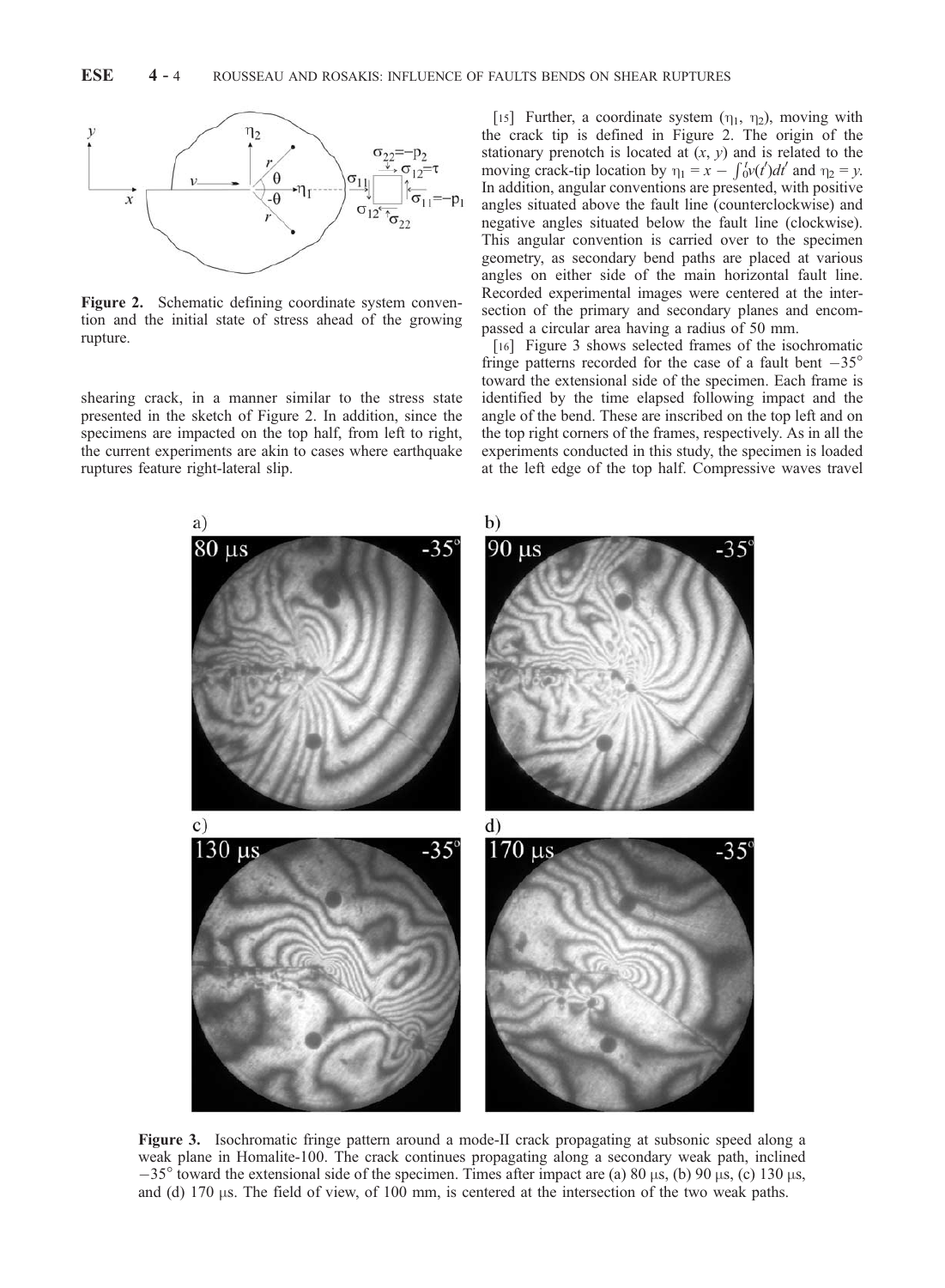

Figure 2. Schematic defining coordinate system convention and the initial state of stress ahead of the growing rupture.

shearing crack, in a manner similar to the stress state presented in the sketch of Figure 2. In addition, since the specimens are impacted on the top half, from left to right, the current experiments are akin to cases where earthquake ruptures feature right-lateral slip.

[15] Further, a coordinate system  $(\eta_1, \eta_2)$ , moving with the crack tip is defined in Figure 2. The origin of the stationary prenotch is located at  $(x, y)$  and is related to the stationary prefiolent is focated at  $(x, y)$  and is related to the<br>moving crack-tip location by  $\eta_1 = x - \int_0^t v(t')dt'$  and  $\eta_2 = y$ . In addition, angular conventions are presented, with positive angles situated above the fault line (counterclockwise) and negative angles situated below the fault line (clockwise). This angular convention is carried over to the specimen geometry, as secondary bend paths are placed at various angles on either side of the main horizontal fault line. Recorded experimental images were centered at the intersection of the primary and secondary planes and encompassed a circular area having a radius of 50 mm.

[16] Figure 3 shows selected frames of the isochromatic fringe patterns recorded for the case of a fault bent  $-35^{\circ}$ toward the extensional side of the specimen. Each frame is identified by the time elapsed following impact and the angle of the bend. These are inscribed on the top left and on the top right corners of the frames, respectively. As in all the experiments conducted in this study, the specimen is loaded at the left edge of the top half. Compressive waves travel



Figure 3. Isochromatic fringe pattern around a mode-II crack propagating at subsonic speed along a weak plane in Homalite-100. The crack continues propagating along a secondary weak path, inclined  $-35^\circ$  toward the extensional side of the specimen. Times after impact are (a) 80 µs, (b) 90 µs, (c) 130 µs, and (d) 170  $\mu$ s. The field of view, of 100 mm, is centered at the intersection of the two weak paths.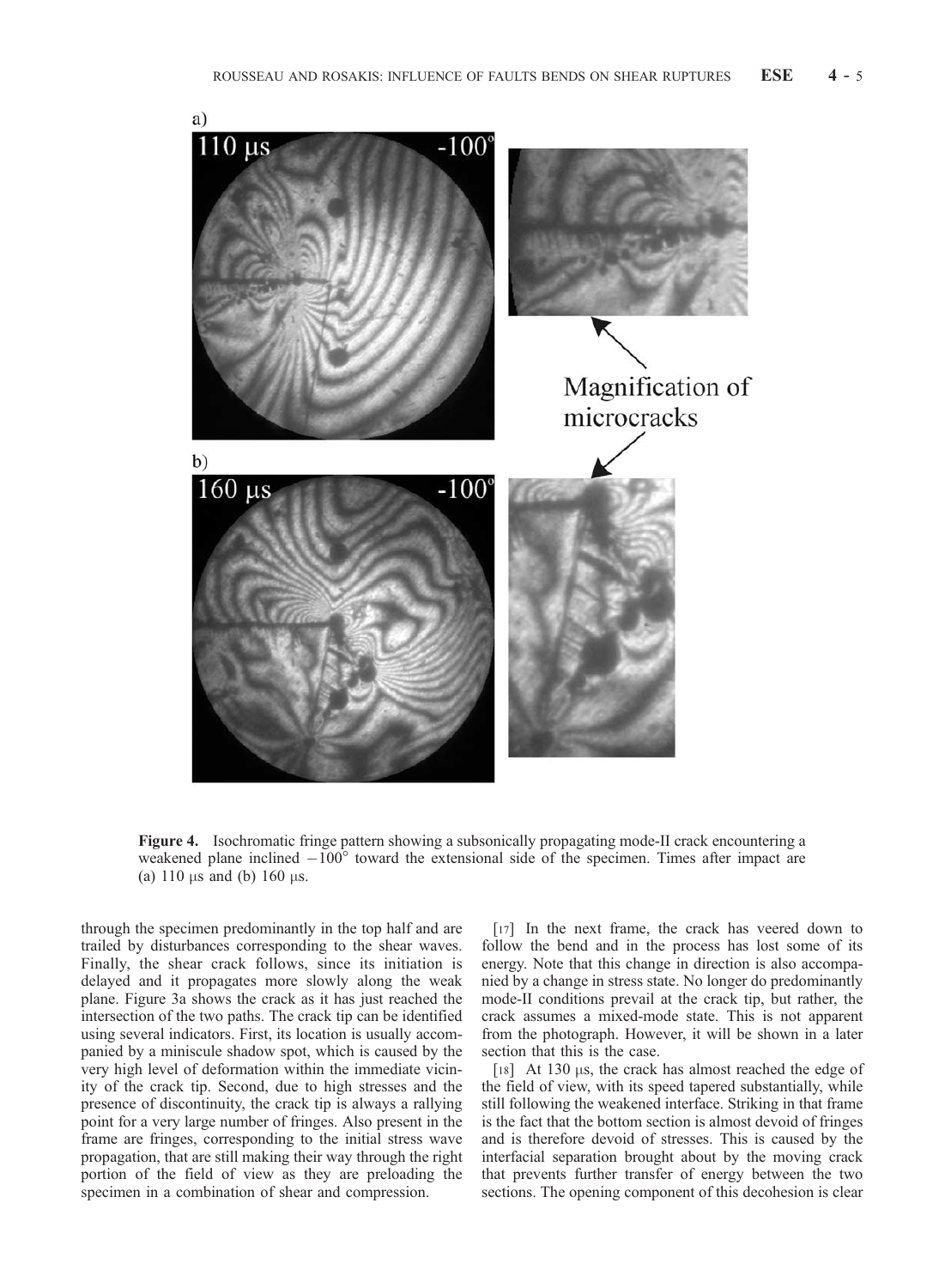

Figure 4. Isochromatic fringe pattern showing a subsonically propagating mode-II crack encountering a weakened plane inclined  $-100^{\circ}$  toward the extensional side of the specimen. Times after impact are (a) 110  $\mu$ s and (b) 160  $\mu$ s.

through the specimen predominantly in the top half and are trailed by disturbances corresponding to the shear waves. Finally, the shear crack follows, since its initiation is delayed and it propagates more slowly along the weak plane. Figure 3a shows the crack as it has just reached the intersection of the two paths. The crack tip can be identified using several indicators. First, its location is usually accompanied by a miniscule shadow spot, which is caused by the very high level of deformation within the immediate vicinity of the crack tip. Second, due to high stresses and the presence of discontinuity, the crack tip is always a rallying point for a very large number of fringes. Also present in the frame are fringes, corresponding to the initial stress wave propagation, that are still making their way through the right portion of the field of view as they are preloading the specimen in a combination of shear and compression.

[17] In the next frame, the crack has veered down to follow the bend and in the process has lost some of its energy. Note that this change in direction is also accompanied by a change in stress state. No longer do predominantly mode-II conditions prevail at the crack tip, but rather, the crack assumes a mixed-mode state. This is not apparent from the photograph. However, it will be shown in a later section that this is the case.

[18] At 130  $\mu$ s, the crack has almost reached the edge of the field of view, with its speed tapered substantially, while still following the weakened interface. Striking in that frame is the fact that the bottom section is almost devoid of fringes and is therefore devoid of stresses. This is caused by the interfacial separation brought about by the moving crack that prevents further transfer of energy between the two sections. The opening component of this decohesion is clear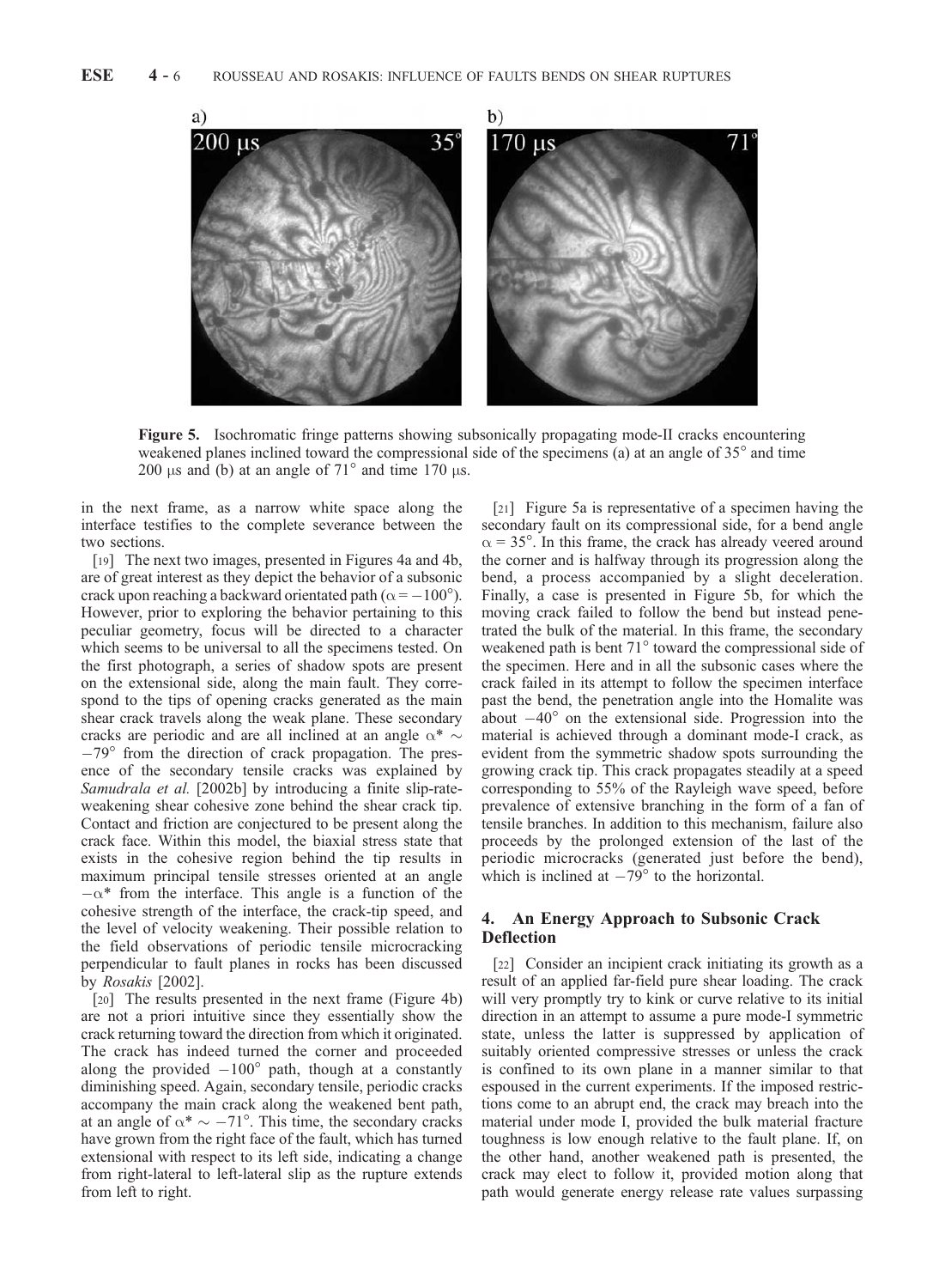

Figure 5. Isochromatic fringe patterns showing subsonically propagating mode-II cracks encountering weakened planes inclined toward the compressional side of the specimens (a) at an angle of  $35^\circ$  and time 200  $\mu$ s and (b) at an angle of 71 $\degree$  and time 170  $\mu$ s.

in the next frame, as a narrow white space along the interface testifies to the complete severance between the two sections.

[19] The next two images, presented in Figures 4a and 4b, are of great interest as they depict the behavior of a subsonic crack upon reaching a backward orientated path ( $\alpha = -100^{\circ}$ ). However, prior to exploring the behavior pertaining to this peculiar geometry, focus will be directed to a character which seems to be universal to all the specimens tested. On the first photograph, a series of shadow spots are present on the extensional side, along the main fault. They correspond to the tips of opening cracks generated as the main shear crack travels along the weak plane. These secondary cracks are periodic and are all inclined at an angle  $\alpha^* \sim$  $-79^{\circ}$  from the direction of crack propagation. The presence of the secondary tensile cracks was explained by Samudrala et al. [2002b] by introducing a finite slip-rateweakening shear cohesive zone behind the shear crack tip. Contact and friction are conjectured to be present along the crack face. Within this model, the biaxial stress state that exists in the cohesive region behind the tip results in maximum principal tensile stresses oriented at an angle  $-\alpha^*$  from the interface. This angle is a function of the cohesive strength of the interface, the crack-tip speed, and the level of velocity weakening. Their possible relation to the field observations of periodic tensile microcracking perpendicular to fault planes in rocks has been discussed by Rosakis [2002].

[20] The results presented in the next frame (Figure 4b) are not a priori intuitive since they essentially show the crack returning toward the direction from which it originated. The crack has indeed turned the corner and proceeded along the provided  $-100^{\circ}$  path, though at a constantly diminishing speed. Again, secondary tensile, periodic cracks accompany the main crack along the weakened bent path, at an angle of  $\alpha^* \sim -71^{\circ}$ . This time, the secondary cracks have grown from the right face of the fault, which has turned extensional with respect to its left side, indicating a change from right-lateral to left-lateral slip as the rupture extends from left to right.

[21] Figure 5a is representative of a specimen having the secondary fault on its compressional side, for a bend angle  $\alpha$  = 35°. In this frame, the crack has already veered around the corner and is halfway through its progression along the bend, a process accompanied by a slight deceleration. Finally, a case is presented in Figure 5b, for which the moving crack failed to follow the bend but instead penetrated the bulk of the material. In this frame, the secondary weakened path is bent  $71^{\circ}$  toward the compressional side of the specimen. Here and in all the subsonic cases where the crack failed in its attempt to follow the specimen interface past the bend, the penetration angle into the Homalite was about  $-40^{\circ}$  on the extensional side. Progression into the material is achieved through a dominant mode-I crack, as evident from the symmetric shadow spots surrounding the growing crack tip. This crack propagates steadily at a speed corresponding to 55% of the Rayleigh wave speed, before prevalence of extensive branching in the form of a fan of tensile branches. In addition to this mechanism, failure also proceeds by the prolonged extension of the last of the periodic microcracks (generated just before the bend), which is inclined at  $-79^\circ$  to the horizontal.

# 4. An Energy Approach to Subsonic Crack Deflection

[22] Consider an incipient crack initiating its growth as a result of an applied far-field pure shear loading. The crack will very promptly try to kink or curve relative to its initial direction in an attempt to assume a pure mode-I symmetric state, unless the latter is suppressed by application of suitably oriented compressive stresses or unless the crack is confined to its own plane in a manner similar to that espoused in the current experiments. If the imposed restrictions come to an abrupt end, the crack may breach into the material under mode I, provided the bulk material fracture toughness is low enough relative to the fault plane. If, on the other hand, another weakened path is presented, the crack may elect to follow it, provided motion along that path would generate energy release rate values surpassing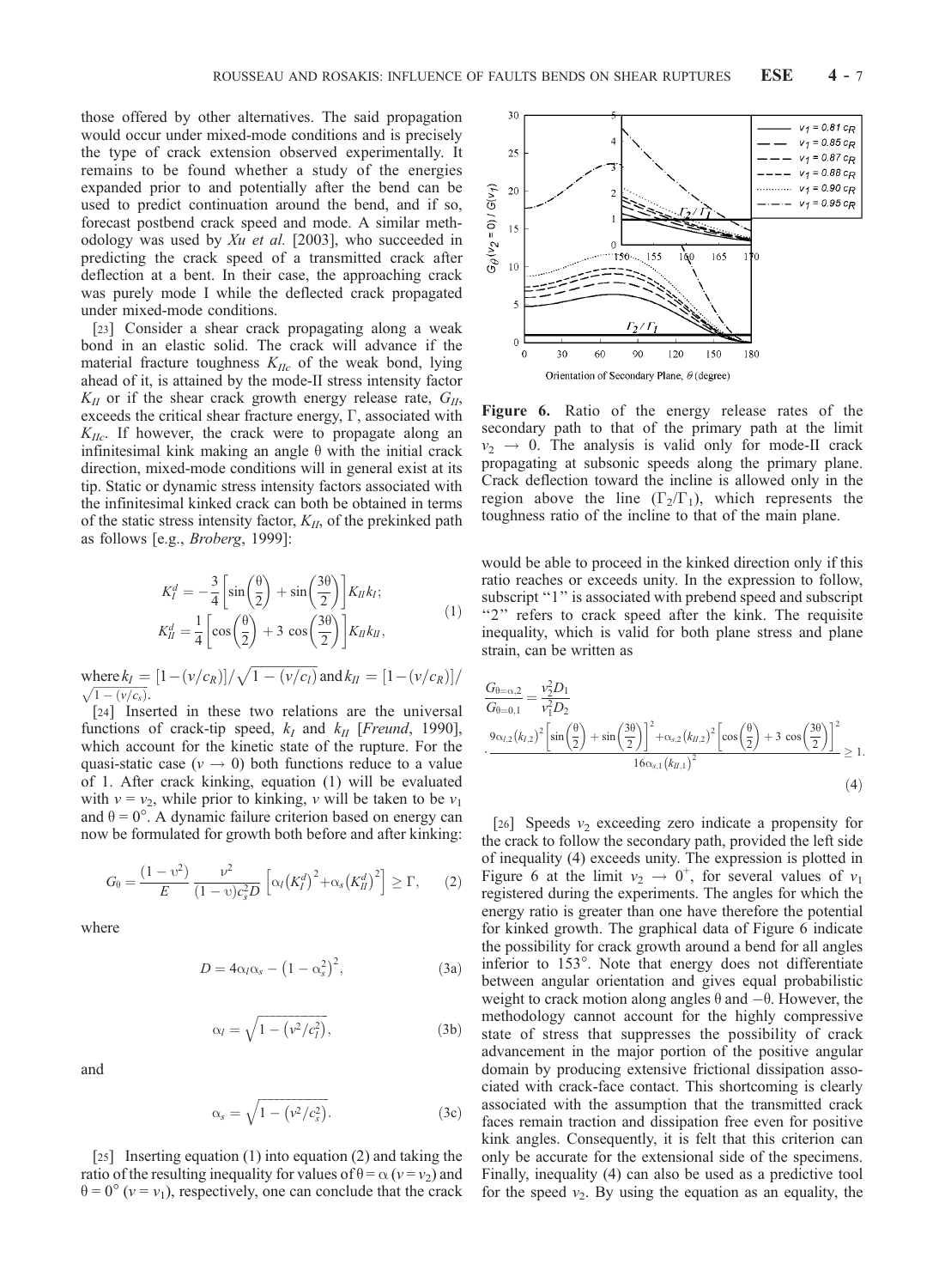those offered by other alternatives. The said propagation would occur under mixed-mode conditions and is precisely the type of crack extension observed experimentally. It remains to be found whether a study of the energies expanded prior to and potentially after the bend can be used to predict continuation around the bend, and if so, forecast postbend crack speed and mode. A similar methodology was used by  $Xu$  et al. [2003], who succeeded in predicting the crack speed of a transmitted crack after deflection at a bent. In their case, the approaching crack was purely mode I while the deflected crack propagated under mixed-mode conditions.

[23] Consider a shear crack propagating along a weak bond in an elastic solid. The crack will advance if the material fracture toughness  $K_{IIC}$  of the weak bond, lying ahead of it, is attained by the mode-II stress intensity factor  $K_{II}$  or if the shear crack growth energy release rate,  $G_{II}$ , exceeds the critical shear fracture energy,  $\Gamma$ , associated with  $K_{IIc}$ . If however, the crack were to propagate along an infinitesimal kink making an angle  $\theta$  with the initial crack direction, mixed-mode conditions will in general exist at its tip. Static or dynamic stress intensity factors associated with the infinitesimal kinked crack can both be obtained in terms of the static stress intensity factor,  $K_{II}$ , of the prekinked path as follows [e.g., Broberg, 1999]:

$$
K_I^d = -\frac{3}{4} \left[ \sin\left(\frac{\theta}{2}\right) + \sin\left(\frac{3\theta}{2}\right) \right] K_{II} k_I;
$$
  

$$
K_{II}^d = \frac{1}{4} \left[ \cos\left(\frac{\theta}{2}\right) + 3 \cos\left(\frac{3\theta}{2}\right) \right] K_{II} k_{II},
$$
 (1)

where  $k_I = [1 - (v/c_R)] / \sqrt{1 - (v/c_I)}$  and  $k_{II} = [1 - (v/c_R)] / \sqrt{1 - (v/c_I)}$  $\sqrt{1-(v/c_s)}.$ 

[24] Inserted in these two relations are the universal functions of crack-tip speed,  $k_I$  and  $k_{II}$  [*Freund*, 1990], which account for the kinetic state of the rupture. For the quasi-static case ( $v \rightarrow 0$ ) both functions reduce to a value of 1. After crack kinking, equation (1) will be evaluated with  $v = v_2$ , while prior to kinking, v will be taken to be  $v_1$ and  $\theta = 0^{\circ}$ . A dynamic failure criterion based on energy can now be formulated for growth both before and after kinking:

$$
G_{\theta} = \frac{(1 - \nu^2)}{E} \frac{\nu^2}{(1 - \nu)c_s^2 D} \left[ \alpha_l (K_l^d)^2 + \alpha_s (K_{II}^d)^2 \right] \ge \Gamma, \qquad (2)
$$

where

$$
D = 4\alpha_l \alpha_s - \left(1 - \alpha_s^2\right)^2,\tag{3a}
$$

$$
\alpha_l = \sqrt{1 - \left(\nu^2/c_l^2\right)},\tag{3b}
$$

and

$$
\alpha_s = \sqrt{1 - \left(\nu^2/c_s^2\right)}.
$$
\n(3c)

[25] Inserting equation (1) into equation (2) and taking the ratio of the resulting inequality for values of  $\theta = \alpha$  ( $v = v_2$ ) and  $\theta = 0^{\circ}$  ( $v = v_1$ ), respectively, one can conclude that the crack



Figure 6. Ratio of the energy release rates of the secondary path to that of the primary path at the limit  $v_2 \rightarrow 0$ . The analysis is valid only for mode-II crack propagating at subsonic speeds along the primary plane. Crack deflection toward the incline is allowed only in the region above the line  $(\Gamma_2/\Gamma_1)$ , which represents the toughness ratio of the incline to that of the main plane.

would be able to proceed in the kinked direction only if this ratio reaches or exceeds unity. In the expression to follow, subscript "1" is associated with prebend speed and subscript "2" refers to crack speed after the kink. The requisite inequality, which is valid for both plane stress and plane strain, can be written as

$$
\frac{G_{\theta=\alpha,2}}{G_{\theta=0,1}} = \frac{v_2^2 D_1}{v_1^2 D_2}
$$
\n
$$
\frac{9\alpha_{l,2}(k_{l,2})^2 \left[\sin\left(\frac{\theta}{2}\right) + \sin\left(\frac{3\theta}{2}\right)\right]^2 + \alpha_{s,2}(k_{l,2})^2 \left[\cos\left(\frac{\theta}{2}\right) + 3\cos\left(\frac{3\theta}{2}\right)\right]^2}{16\alpha_{s,1}(k_{l,1})^2} \ge 1.
$$
\n(4)

[26] Speeds  $v_2$  exceeding zero indicate a propensity for the crack to follow the secondary path, provided the left side of inequality (4) exceeds unity. The expression is plotted in Figure 6 at the limit  $v_2 \rightarrow 0^+$ , for several values of  $v_1$ registered during the experiments. The angles for which the energy ratio is greater than one have therefore the potential for kinked growth. The graphical data of Figure 6 indicate the possibility for crack growth around a bend for all angles inferior to  $153^\circ$ . Note that energy does not differentiate between angular orientation and gives equal probabilistic weight to crack motion along angles  $\theta$  and  $-\theta$ . However, the methodology cannot account for the highly compressive state of stress that suppresses the possibility of crack advancement in the major portion of the positive angular domain by producing extensive frictional dissipation associated with crack-face contact. This shortcoming is clearly associated with the assumption that the transmitted crack faces remain traction and dissipation free even for positive kink angles. Consequently, it is felt that this criterion can only be accurate for the extensional side of the specimens. Finally, inequality (4) can also be used as a predictive tool for the speed  $v_2$ . By using the equation as an equality, the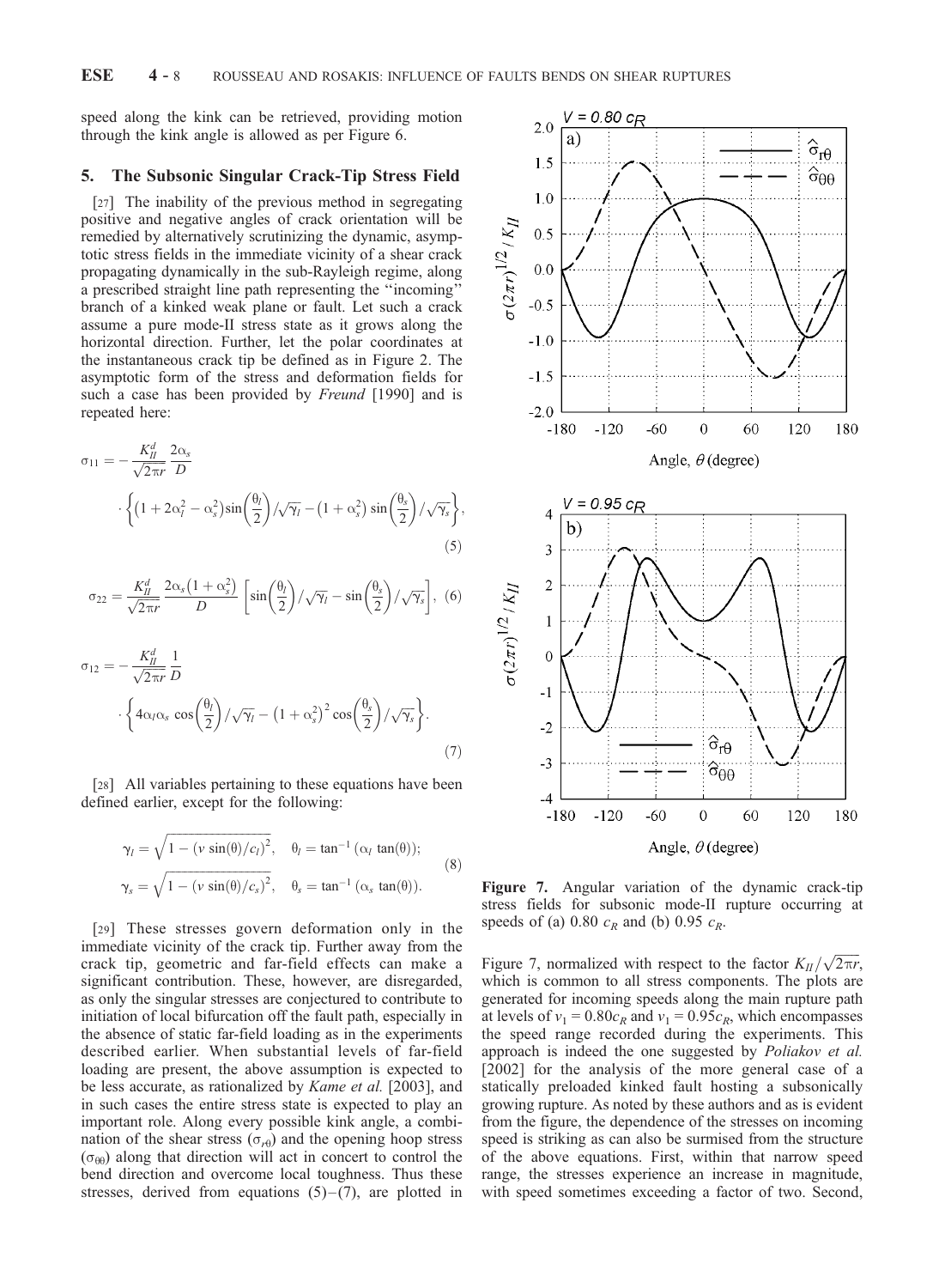speed along the kink can be retrieved, providing motion through the kink angle is allowed as per Figure 6.

## 5. The Subsonic Singular Crack-Tip Stress Field

[27] The inability of the previous method in segregating positive and negative angles of crack orientation will be remedied by alternatively scrutinizing the dynamic, asymptotic stress fields in the immediate vicinity of a shear crack propagating dynamically in the sub-Rayleigh regime, along a prescribed straight line path representing the ''incoming'' branch of a kinked weak plane or fault. Let such a crack assume a pure mode-II stress state as it grows along the horizontal direction. Further, let the polar coordinates at the instantaneous crack tip be defined as in Figure 2. The asymptotic form of the stress and deformation fields for such a case has been provided by Freund [1990] and is repeated here:

$$
\sigma_{11} = -\frac{K_{II}^d}{\sqrt{2\pi r}} \frac{2\alpha_s}{D}
$$

$$
\cdot \left\{ \left( 1 + 2\alpha_l^2 - \alpha_s^2 \right) \sin\left(\frac{\theta_l}{2}\right) / \sqrt{\gamma_l} - \left( 1 + \alpha_s^2 \right) \sin\left(\frac{\theta_s}{2}\right) / \sqrt{\gamma_s} \right\},\tag{5}
$$

$$
\sigma_{22} = \frac{K_{II}^d}{\sqrt{2\pi r}} \frac{2\alpha_s \left(1 + \alpha_s^2\right)}{D} \left[ \sin\left(\frac{\theta_l}{2}\right) / \sqrt{\gamma_l} - \sin\left(\frac{\theta_s}{2}\right) / \sqrt{\gamma_s} \right], \tag{6}
$$

$$
\sigma_{12} = -\frac{K_{II}^d}{\sqrt{2\pi r}} \frac{1}{D}
$$

$$
\left\{ 4\alpha_l \alpha_s \cos\left(\frac{\theta_l}{2}\right) / \sqrt{\gamma_l} - \left(1 + \alpha_s^2\right)^2 \cos\left(\frac{\theta_s}{2}\right) / \sqrt{\gamma_s} \right\}.
$$

$$
(7)
$$

[28] All variables pertaining to these equations have been defined earlier, except for the following:

$$
\gamma_l = \sqrt{1 - (v \sin(\theta)/c_l)^2}, \quad \theta_l = \tan^{-1} (\alpha_l \tan(\theta));
$$
  

$$
\gamma_s = \sqrt{1 - (v \sin(\theta)/c_s)^2}, \quad \theta_s = \tan^{-1} (\alpha_s \tan(\theta)).
$$
 (8)

[29] These stresses govern deformation only in the immediate vicinity of the crack tip. Further away from the crack tip, geometric and far-field effects can make a significant contribution. These, however, are disregarded, as only the singular stresses are conjectured to contribute to initiation of local bifurcation off the fault path, especially in the absence of static far-field loading as in the experiments described earlier. When substantial levels of far-field loading are present, the above assumption is expected to be less accurate, as rationalized by Kame et al. [2003], and in such cases the entire stress state is expected to play an important role. Along every possible kink angle, a combination of the shear stress ( $\sigma_{r\theta}$ ) and the opening hoop stress  $(\sigma_{\theta\theta})$  along that direction will act in concert to control the bend direction and overcome local toughness. Thus these stresses, derived from equations  $(5)$ – $(7)$ , are plotted in



Figure 7. Angular variation of the dynamic crack-tip stress fields for subsonic mode-II rupture occurring at speeds of (a) 0.80  $c_R$  and (b) 0.95  $c_R$ .

Figure 7, normalized with respect to the factor  $K_{II}/\sqrt{2\pi r}$ , which is common to all stress components. The plots are generated for incoming speeds along the main rupture path at levels of  $v_1 = 0.80c_R$  and  $v_1 = 0.95c_R$ , which encompasses the speed range recorded during the experiments. This approach is indeed the one suggested by Poliakov et al. [2002] for the analysis of the more general case of a statically preloaded kinked fault hosting a subsonically growing rupture. As noted by these authors and as is evident from the figure, the dependence of the stresses on incoming speed is striking as can also be surmised from the structure of the above equations. First, within that narrow speed range, the stresses experience an increase in magnitude, with speed sometimes exceeding a factor of two. Second,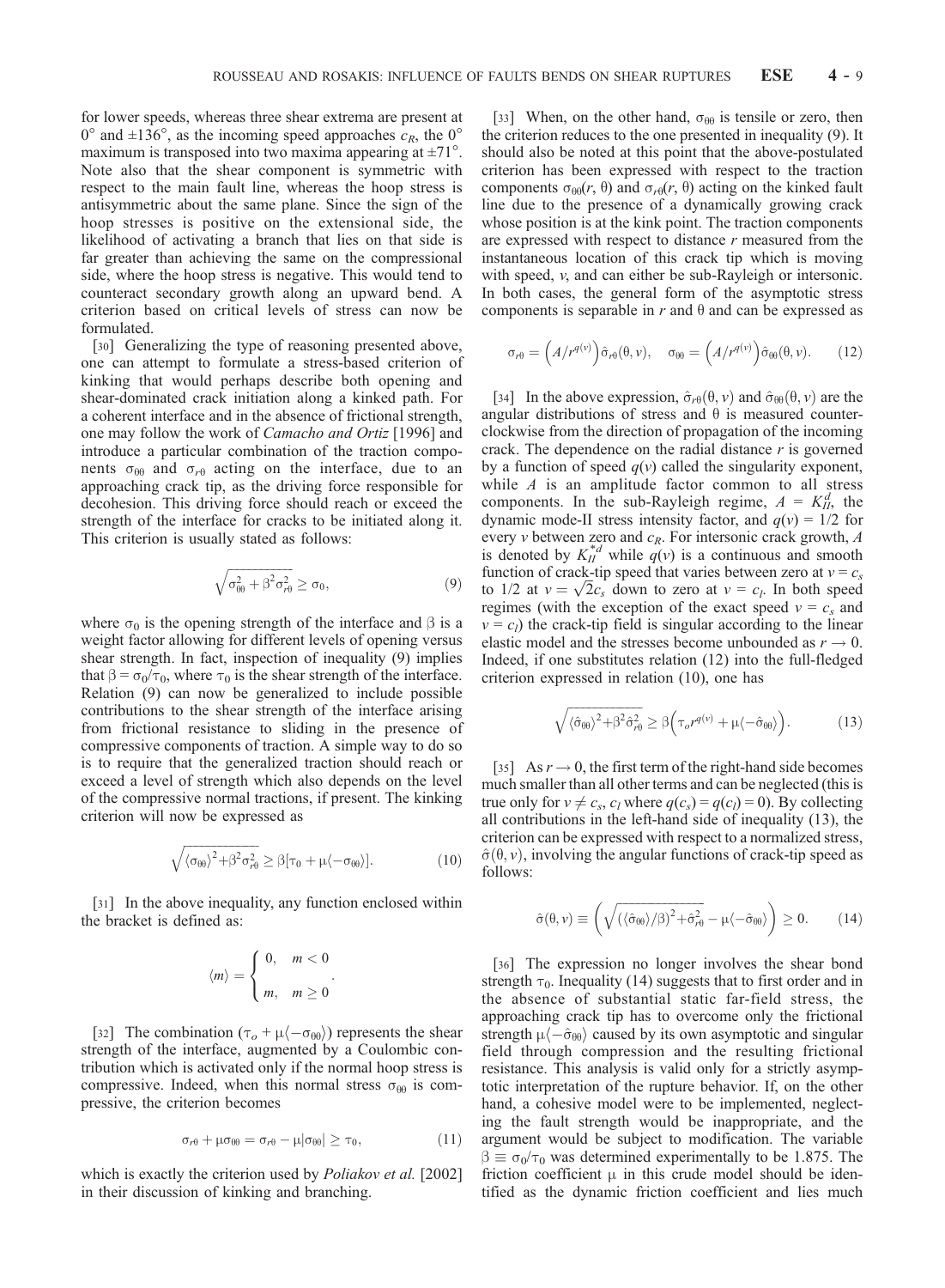for lower speeds, whereas three shear extrema are present at  $0^{\circ}$  and  $\pm 136^{\circ}$ , as the incoming speed approaches  $c_R$ , the  $0^{\circ}$ maximum is transposed into two maxima appearing at  $\pm 71^\circ$ . Note also that the shear component is symmetric with respect to the main fault line, whereas the hoop stress is antisymmetric about the same plane. Since the sign of the hoop stresses is positive on the extensional side, the likelihood of activating a branch that lies on that side is far greater than achieving the same on the compressional side, where the hoop stress is negative. This would tend to counteract secondary growth along an upward bend. A criterion based on critical levels of stress can now be formulated.

[30] Generalizing the type of reasoning presented above, one can attempt to formulate a stress-based criterion of kinking that would perhaps describe both opening and shear-dominated crack initiation along a kinked path. For a coherent interface and in the absence of frictional strength, one may follow the work of Camacho and Ortiz [1996] and introduce a particular combination of the traction components  $\sigma_{\theta\theta}$  and  $\sigma_{r\theta}$  acting on the interface, due to an approaching crack tip, as the driving force responsible for decohesion. This driving force should reach or exceed the strength of the interface for cracks to be initiated along it. This criterion is usually stated as follows:

$$
\sqrt{\sigma_{\theta\theta}^2 + \beta^2 \sigma_{r\theta}^2} \ge \sigma_0,\tag{9}
$$

where  $\sigma_0$  is the opening strength of the interface and  $\beta$  is a weight factor allowing for different levels of opening versus shear strength. In fact, inspection of inequality (9) implies that  $\beta = \sigma_0/\tau_0$ , where  $\tau_0$  is the shear strength of the interface. Relation (9) can now be generalized to include possible contributions to the shear strength of the interface arising from frictional resistance to sliding in the presence of compressive components of traction. A simple way to do so is to require that the generalized traction should reach or exceed a level of strength which also depends on the level of the compressive normal tractions, if present. The kinking criterion will now be expressed as

$$
\sqrt{\langle \sigma_{\theta\theta} \rangle^2 + \beta^2 \sigma_{r\theta}^2} \ge \beta [\tau_0 + \mu \langle -\sigma_{\theta\theta} \rangle]. \tag{10}
$$

[31] In the above inequality, any function enclosed within the bracket is defined as:

$$
\langle m \rangle = \begin{cases} 0, & m < 0 \\ m, & m \ge 0 \end{cases}.
$$

[32] The combination ( $\tau_o + \mu \langle -\sigma_{\theta\theta} \rangle$ ) represents the shear strength of the interface, augmented by a Coulombic contribution which is activated only if the normal hoop stress is compressive. Indeed, when this normal stress  $\sigma_{\theta\theta}$  is compressive, the criterion becomes

$$
\sigma_{r\theta} + \mu \sigma_{\theta\theta} = \sigma_{r\theta} - \mu |\sigma_{\theta\theta}| \ge \tau_0, \tag{11}
$$

which is exactly the criterion used by *Poliakov et al.* [2002] in their discussion of kinking and branching.

[33] When, on the other hand,  $\sigma_{\theta\theta}$  is tensile or zero, then the criterion reduces to the one presented in inequality (9). It should also be noted at this point that the above-postulated criterion has been expressed with respect to the traction components  $\sigma_{\theta\theta}(r, \theta)$  and  $\sigma_{r\theta}(r, \theta)$  acting on the kinked fault line due to the presence of a dynamically growing crack whose position is at the kink point. The traction components are expressed with respect to distance r measured from the instantaneous location of this crack tip which is moving with speed, v, and can either be sub-Rayleigh or intersonic. In both cases, the general form of the asymptotic stress components is separable in  $r$  and  $\theta$  and can be expressed as

$$
\sigma_{r\theta} = (A/r^{q(\nu)})\hat{\sigma}_{r\theta}(\theta,\nu), \quad \sigma_{\theta\theta} = (A/r^{q(\nu)})\hat{\sigma}_{\theta\theta}(\theta,\nu). \tag{12}
$$

[34] In the above expression,  $\hat{\sigma}_{r\theta}(\theta, v)$  and  $\hat{\sigma}_{\theta\theta}(\theta, v)$  are the angular distributions of stress and  $\theta$  is measured counterclockwise from the direction of propagation of the incoming crack. The dependence on the radial distance  $r$  is governed by a function of speed  $q(v)$  called the singularity exponent, while  $A$  is an amplitude factor common to all stress components. In the sub-Rayleigh regime,  $A = K_{II}^d$ , the dynamic mode-II stress intensity factor, and  $q(v) = 1/2$  for every  $v$  between zero and  $c_R$ . For intersonic crack growth,  $A$ is denoted by  $K_{II}^{*d}$  while  $q(v)$  is a continuous and smooth function of crack-tip speed that varies between zero at  $v = c_s$ function of crack-tip speed that varies between zero at  $v = c_s$ <br>to 1/2 at  $v = \sqrt{2}c_s$  down to zero at  $v = c_l$ . In both speed regimes (with the exception of the exact speed  $v = c_s$  and  $v = c_l$ ) the crack-tip field is singular according to the linear elastic model and the stresses become unbounded as  $r \to 0$ . Indeed, if one substitutes relation (12) into the full-fledged criterion expressed in relation (10), one has

$$
\sqrt{\langle \hat{\sigma}_{\theta\theta} \rangle^2 + \beta^2 \hat{\sigma}_{r\theta}^2} \ge \beta \Big( \tau_o r^{q(\nu)} + \mu \langle -\hat{\sigma}_{\theta\theta} \rangle \Big). \tag{13}
$$

[35] As  $r \rightarrow 0$ , the first term of the right-hand side becomes much smaller than all other terms and can be neglected (this is true only for  $v \neq c_s$ ,  $c_l$  where  $q(c_s) = q(c_l) = 0$ ). By collecting all contributions in the left-hand side of inequality (13), the criterion can be expressed with respect to a normalized stress,  $\hat{\sigma}(\theta, v)$ , involving the angular functions of crack-tip speed as follows:

$$
\hat{\sigma}(\theta,\nu)\equiv\left(\sqrt{\left(\langle\hat{\sigma}_{\theta\theta}\rangle/\beta\right)^2\!+\!\hat{\sigma}_{r\theta}^2}-\mu\langle-\hat{\sigma}_{\theta\theta}\rangle\right)\geq 0.\quad\quad(14)
$$

[36] The expression no longer involves the shear bond strength  $\tau_0$ . Inequality (14) suggests that to first order and in the absence of substantial static far-field stress, the approaching crack tip has to overcome only the frictional strength  $\mu \langle -\hat{\sigma}_{\theta\theta} \rangle$  caused by its own asymptotic and singular field through compression and the resulting frictional resistance. This analysis is valid only for a strictly asymptotic interpretation of the rupture behavior. If, on the other hand, a cohesive model were to be implemented, neglecting the fault strength would be inappropriate, and the argument would be subject to modification. The variable  $\beta \equiv \sigma_0/\tau_0$  was determined experimentally to be 1.875. The friction coefficient  $\mu$  in this crude model should be identified as the dynamic friction coefficient and lies much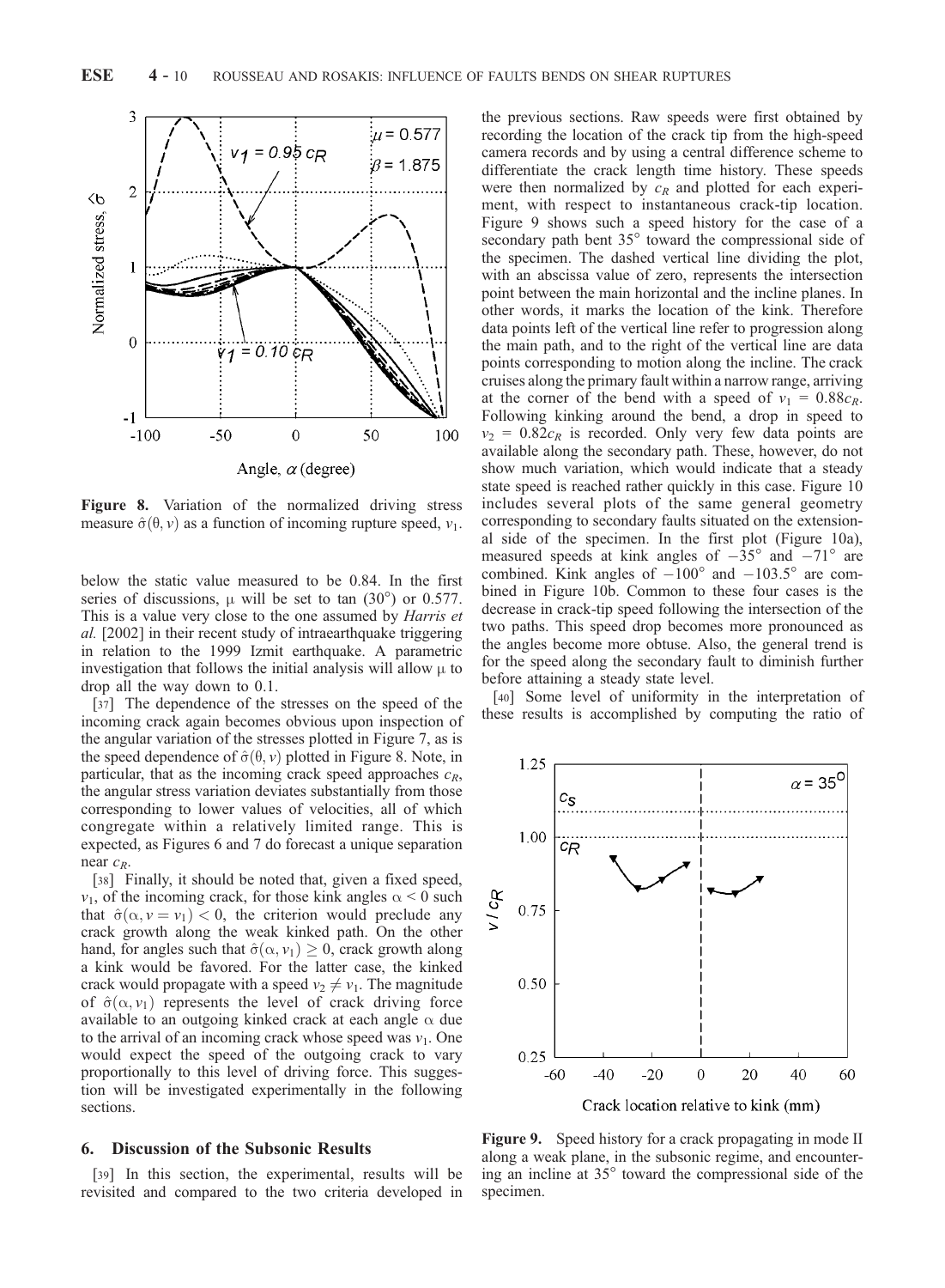

Figure 8. Variation of the normalized driving stress measure  $\hat{\sigma}(\theta, v)$  as a function of incoming rupture speed,  $v_1$ .

below the static value measured to be 0.84. In the first series of discussions,  $\mu$  will be set to tan (30°) or 0.577. This is a value very close to the one assumed by *Harris et* al. [2002] in their recent study of intraearthquake triggering in relation to the 1999 Izmit earthquake. A parametric investigation that follows the initial analysis will allow  $\mu$  to drop all the way down to 0.1.

[37] The dependence of the stresses on the speed of the incoming crack again becomes obvious upon inspection of the angular variation of the stresses plotted in Figure 7, as is the speed dependence of  $\hat{\sigma}(\theta, v)$  plotted in Figure 8. Note, in particular, that as the incoming crack speed approaches  $c_R$ , the angular stress variation deviates substantially from those corresponding to lower values of velocities, all of which congregate within a relatively limited range. This is expected, as Figures 6 and 7 do forecast a unique separation near  $c_R$ .

[38] Finally, it should be noted that, given a fixed speed,  $v_1$ , of the incoming crack, for those kink angles  $\alpha$  < 0 such that  $\hat{\sigma} (\alpha, v = v_1) < 0$ , the criterion would preclude any crack growth along the weak kinked path. On the other hand, for angles such that  $\hat{\sigma}(\alpha, v_1) \geq 0$ , crack growth along a kink would be favored. For the latter case, the kinked crack would propagate with a speed  $v_2 \neq v_1$ . The magnitude of  $\hat{\sigma}(\alpha, \nu_1)$  represents the level of crack driving force available to an outgoing kinked crack at each angle  $\alpha$  due to the arrival of an incoming crack whose speed was  $v_1$ . One would expect the speed of the outgoing crack to vary proportionally to this level of driving force. This suggestion will be investigated experimentally in the following sections.

#### 6. Discussion of the Subsonic Results

[39] In this section, the experimental, results will be revisited and compared to the two criteria developed in

the previous sections. Raw speeds were first obtained by recording the location of the crack tip from the high-speed camera records and by using a central difference scheme to differentiate the crack length time history. These speeds were then normalized by  $c_R$  and plotted for each experiment, with respect to instantaneous crack-tip location. Figure 9 shows such a speed history for the case of a secondary path bent 35° toward the compressional side of the specimen. The dashed vertical line dividing the plot, with an abscissa value of zero, represents the intersection point between the main horizontal and the incline planes. In other words, it marks the location of the kink. Therefore data points left of the vertical line refer to progression along the main path, and to the right of the vertical line are data points corresponding to motion along the incline. The crack cruises along the primary fault within a narrow range, arriving at the corner of the bend with a speed of  $v_1 = 0.88c_R$ . Following kinking around the bend, a drop in speed to  $v_2 = 0.82c_R$  is recorded. Only very few data points are available along the secondary path. These, however, do not show much variation, which would indicate that a steady state speed is reached rather quickly in this case. Figure 10 includes several plots of the same general geometry corresponding to secondary faults situated on the extensional side of the specimen. In the first plot (Figure 10a), measured speeds at kink angles of  $-35^{\circ}$  and  $-71^{\circ}$  are combined. Kink angles of  $-100^{\circ}$  and  $-103.5^{\circ}$  are combined in Figure 10b. Common to these four cases is the decrease in crack-tip speed following the intersection of the two paths. This speed drop becomes more pronounced as the angles become more obtuse. Also, the general trend is for the speed along the secondary fault to diminish further before attaining a steady state level.

[40] Some level of uniformity in the interpretation of these results is accomplished by computing the ratio of



Figure 9. Speed history for a crack propagating in mode II along a weak plane, in the subsonic regime, and encountering an incline at 35° toward the compressional side of the specimen.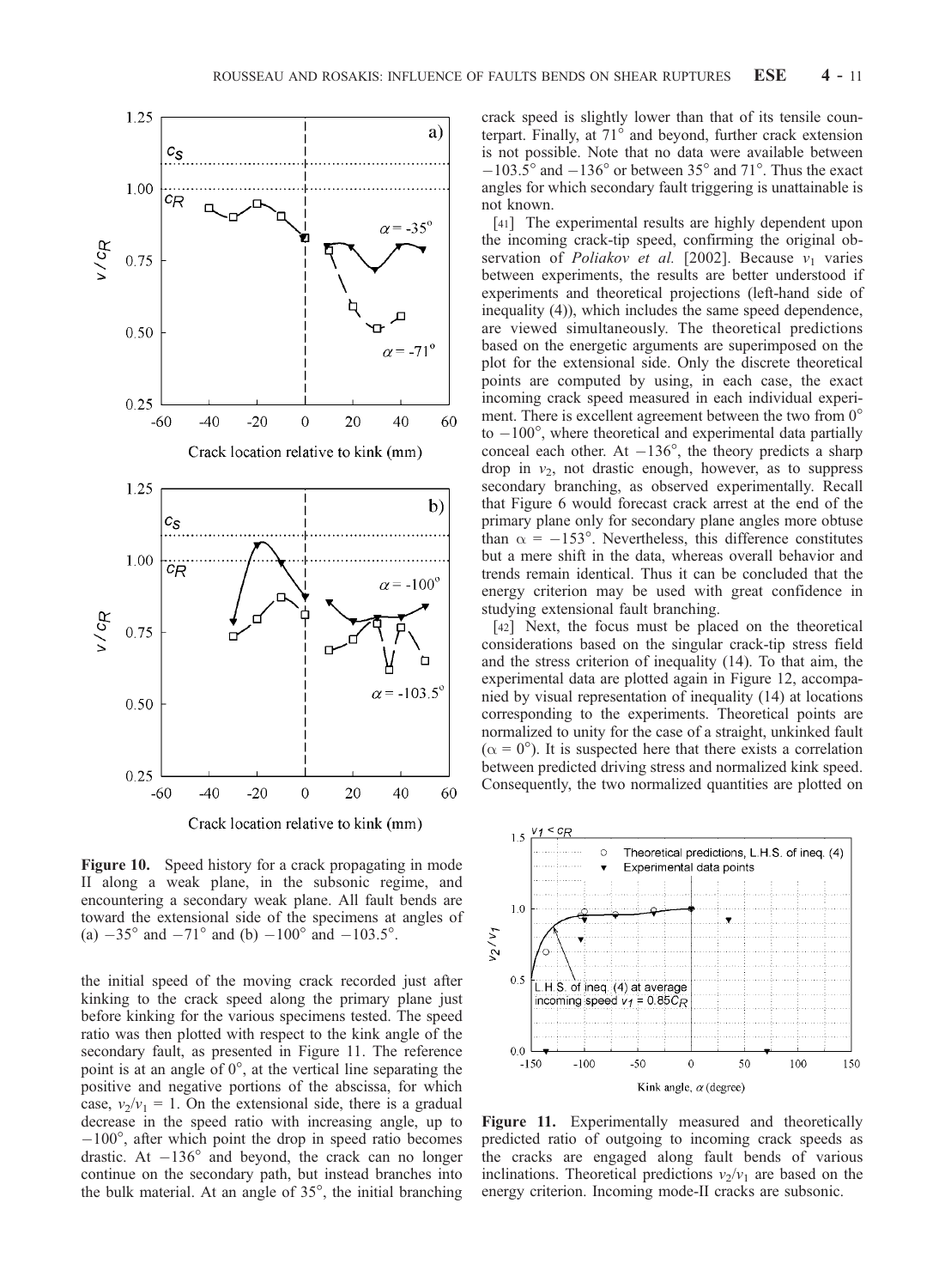

Figure 10. Speed history for a crack propagating in mode II along a weak plane, in the subsonic regime, and encountering a secondary weak plane. All fault bends are toward the extensional side of the specimens at angles of (a)  $-35^{\circ}$  and  $-71^{\circ}$  and (b)  $-100^{\circ}$  and  $-103.5^{\circ}$ .

the initial speed of the moving crack recorded just after kinking to the crack speed along the primary plane just before kinking for the various specimens tested. The speed ratio was then plotted with respect to the kink angle of the secondary fault, as presented in Figure 11. The reference point is at an angle of  $0^\circ$ , at the vertical line separating the positive and negative portions of the abscissa, for which case,  $v_2/v_1 = 1$ . On the extensional side, there is a gradual decrease in the speed ratio with increasing angle, up to  $-100^{\circ}$ , after which point the drop in speed ratio becomes drastic. At  $-136^\circ$  and beyond, the crack can no longer continue on the secondary path, but instead branches into the bulk material. At an angle of  $35^\circ$ , the initial branching

crack speed is slightly lower than that of its tensile counterpart. Finally, at  $71^\circ$  and beyond, further crack extension is not possible. Note that no data were available between  $-103.5^{\circ}$  and  $-136^{\circ}$  or between 35° and 71°. Thus the exact angles for which secondary fault triggering is unattainable is not known.

[41] The experimental results are highly dependent upon the incoming crack-tip speed, confirming the original observation of Poliakov et al. [2002]. Because  $v_1$  varies between experiments, the results are better understood if experiments and theoretical projections (left-hand side of inequality (4)), which includes the same speed dependence, are viewed simultaneously. The theoretical predictions based on the energetic arguments are superimposed on the plot for the extensional side. Only the discrete theoretical points are computed by using, in each case, the exact incoming crack speed measured in each individual experiment. There is excellent agreement between the two from 0<sup>o</sup> to  $-100^{\circ}$ , where theoretical and experimental data partially conceal each other. At  $-136^{\circ}$ , the theory predicts a sharp drop in  $v_2$ , not drastic enough, however, as to suppress secondary branching, as observed experimentally. Recall that Figure 6 would forecast crack arrest at the end of the primary plane only for secondary plane angles more obtuse than  $\alpha = -153^{\circ}$ . Nevertheless, this difference constitutes but a mere shift in the data, whereas overall behavior and trends remain identical. Thus it can be concluded that the energy criterion may be used with great confidence in studying extensional fault branching.

[42] Next, the focus must be placed on the theoretical considerations based on the singular crack-tip stress field and the stress criterion of inequality (14). To that aim, the experimental data are plotted again in Figure 12, accompanied by visual representation of inequality (14) at locations corresponding to the experiments. Theoretical points are normalized to unity for the case of a straight, unkinked fault  $(\alpha = 0^{\circ})$ . It is suspected here that there exists a correlation between predicted driving stress and normalized kink speed. Consequently, the two normalized quantities are plotted on



Figure 11. Experimentally measured and theoretically predicted ratio of outgoing to incoming crack speeds as the cracks are engaged along fault bends of various inclinations. Theoretical predictions  $v_2/v_1$  are based on the energy criterion. Incoming mode-II cracks are subsonic.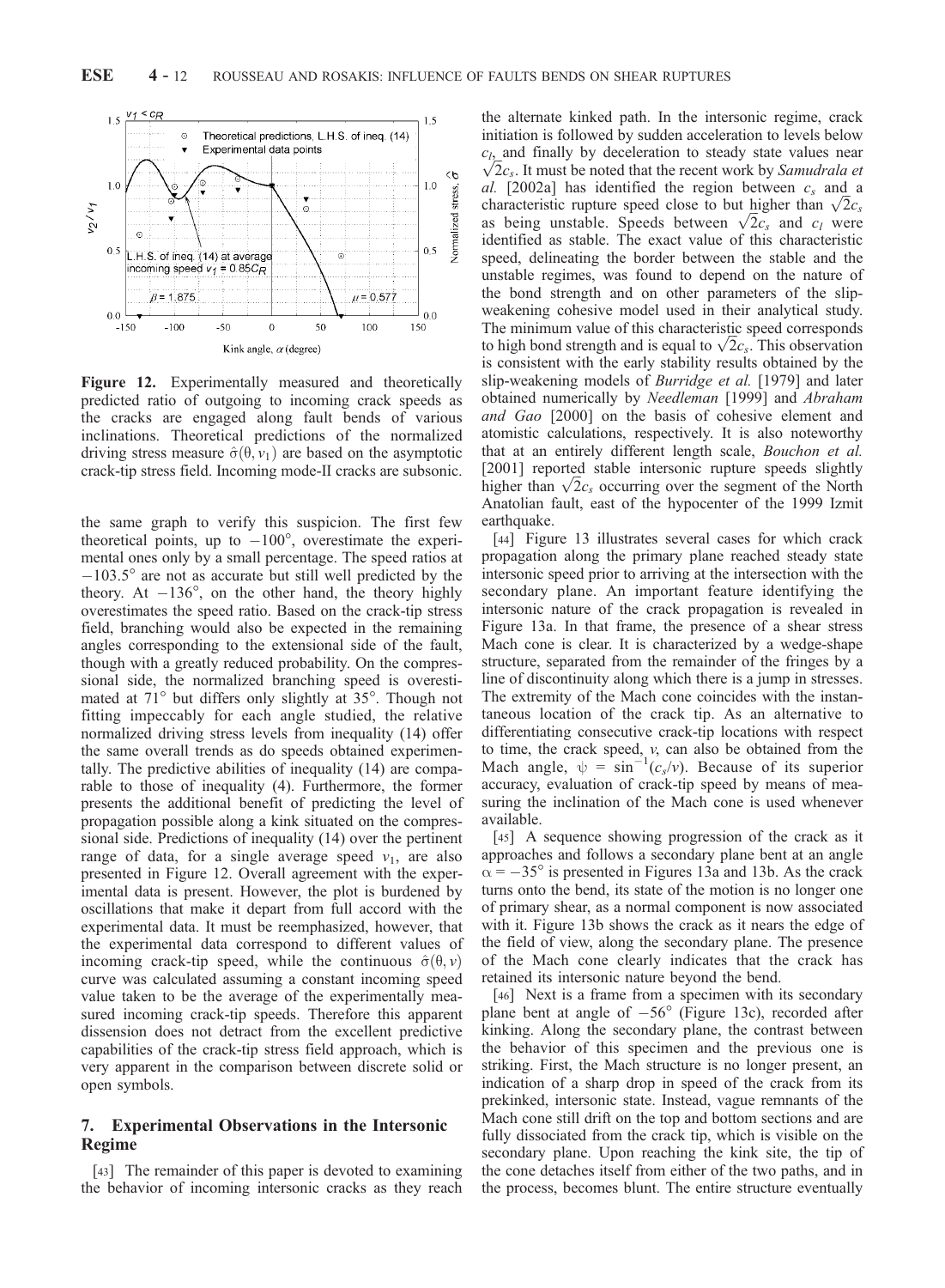

Figure 12. Experimentally measured and theoretically predicted ratio of outgoing to incoming crack speeds as the cracks are engaged along fault bends of various inclinations. Theoretical predictions of the normalized driving stress measure  $\hat{\sigma}(\theta, v_1)$  are based on the asymptotic crack-tip stress field. Incoming mode-II cracks are subsonic.

the same graph to verify this suspicion. The first few theoretical points, up to  $-100^{\circ}$ , overestimate the experimental ones only by a small percentage. The speed ratios at  $-103.5^\circ$  are not as accurate but still well predicted by the theory. At  $-136^{\circ}$ , on the other hand, the theory highly overestimates the speed ratio. Based on the crack-tip stress field, branching would also be expected in the remaining angles corresponding to the extensional side of the fault, though with a greatly reduced probability. On the compressional side, the normalized branching speed is overestimated at  $71^\circ$  but differs only slightly at  $35^\circ$ . Though not fitting impeccably for each angle studied, the relative normalized driving stress levels from inequality (14) offer the same overall trends as do speeds obtained experimentally. The predictive abilities of inequality (14) are comparable to those of inequality (4). Furthermore, the former presents the additional benefit of predicting the level of propagation possible along a kink situated on the compressional side. Predictions of inequality (14) over the pertinent range of data, for a single average speed  $v_1$ , are also presented in Figure 12. Overall agreement with the experimental data is present. However, the plot is burdened by oscillations that make it depart from full accord with the experimental data. It must be reemphasized, however, that the experimental data correspond to different values of incoming crack-tip speed, while the continuous  $\hat{\sigma}(\theta, v)$ curve was calculated assuming a constant incoming speed value taken to be the average of the experimentally measured incoming crack-tip speeds. Therefore this apparent dissension does not detract from the excellent predictive capabilities of the crack-tip stress field approach, which is very apparent in the comparison between discrete solid or open symbols.

# 7. Experimental Observations in the Intersonic Regime

[43] The remainder of this paper is devoted to examining the behavior of incoming intersonic cracks as they reach the alternate kinked path. In the intersonic regime, crack initiation is followed by sudden acceleration to levels below  $c_l$ , and finally by deceleration to steady state values near  $c_l$ , and finally by deceleration to steady state values near  $\sqrt{2}c_s$ . It must be noted that the recent work by *Samudrala et* al. [2002a] has identified the region between  $c_s$  and a al. [2002a] has identified the region between  $c_s$  and a characteristic rupture speed close to but higher than  $\sqrt{2}c_s$ characteristic rupture speed close to but higher than  $\sqrt{2}c_s$  and  $c_l$  were identified as stable. The exact value of this characteristic speed, delineating the border between the stable and the unstable regimes, was found to depend on the nature of the bond strength and on other parameters of the slipweakening cohesive model used in their analytical study. The minimum value of this characteristic speed corresponds The minimum value of this characteristic speed corresponds<br>to high bond strength and is equal to  $\sqrt{2}c_s$ . This observation is consistent with the early stability results obtained by the slip-weakening models of Burridge et al. [1979] and later obtained numerically by Needleman [1999] and Abraham and Gao [2000] on the basis of cohesive element and atomistic calculations, respectively. It is also noteworthy that at an entirely different length scale, Bouchon et al. [2001] reported stable intersonic rupture speeds slightly [2001] reported stable intersonic rupture speeds slightly<br>higher than  $\sqrt{2}c_s$  occurring over the segment of the North Anatolian fault, east of the hypocenter of the 1999 Izmit earthquake.

[44] Figure 13 illustrates several cases for which crack propagation along the primary plane reached steady state intersonic speed prior to arriving at the intersection with the secondary plane. An important feature identifying the intersonic nature of the crack propagation is revealed in Figure 13a. In that frame, the presence of a shear stress Mach cone is clear. It is characterized by a wedge-shape structure, separated from the remainder of the fringes by a line of discontinuity along which there is a jump in stresses. The extremity of the Mach cone coincides with the instantaneous location of the crack tip. As an alternative to differentiating consecutive crack-tip locations with respect to time, the crack speed,  $v$ , can also be obtained from the Mach angle,  $\psi = \sin^{-1}(c_s/v)$ . Because of its superior accuracy, evaluation of crack-tip speed by means of measuring the inclination of the Mach cone is used whenever available.

[45] A sequence showing progression of the crack as it approaches and follows a secondary plane bent at an angle  $\alpha = -35^{\circ}$  is presented in Figures 13a and 13b. As the crack turns onto the bend, its state of the motion is no longer one of primary shear, as a normal component is now associated with it. Figure 13b shows the crack as it nears the edge of the field of view, along the secondary plane. The presence of the Mach cone clearly indicates that the crack has retained its intersonic nature beyond the bend.

[46] Next is a frame from a specimen with its secondary plane bent at angle of  $-56^{\circ}$  (Figure 13c), recorded after kinking. Along the secondary plane, the contrast between the behavior of this specimen and the previous one is striking. First, the Mach structure is no longer present, an indication of a sharp drop in speed of the crack from its prekinked, intersonic state. Instead, vague remnants of the Mach cone still drift on the top and bottom sections and are fully dissociated from the crack tip, which is visible on the secondary plane. Upon reaching the kink site, the tip of the cone detaches itself from either of the two paths, and in the process, becomes blunt. The entire structure eventually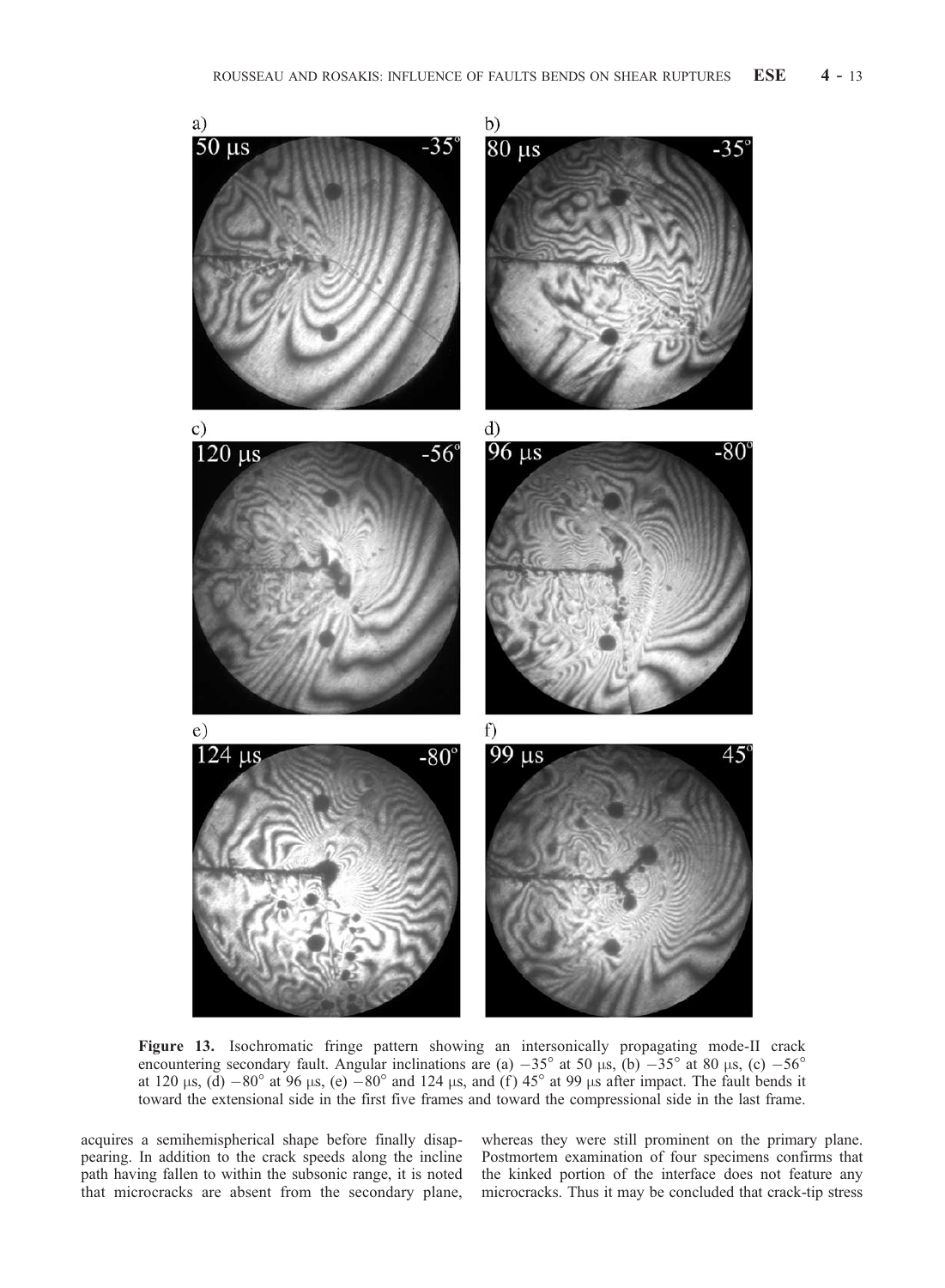

Figure 13. Isochromatic fringe pattern showing an intersonically propagating mode-II crack encountering secondary fault. Angular inclinations are (a)  $-35^{\circ}$  at 50  $\mu$ s, (b)  $-35^{\circ}$  at 80  $\mu$ s, (c)  $-56^{\circ}$ at 120 µs, (d)  $-80^\circ$  at 96 µs, (e)  $-80^\circ$  and 124 µs, and (f) 45° at 99 µs after impact. The fault bends it toward the extensional side in the first five frames and toward the compressional side in the last frame.

acquires a semihemispherical shape before finally disappearing. In addition to the crack speeds along the incline path having fallen to within the subsonic range, it is noted that microcracks are absent from the secondary plane,

whereas they were still prominent on the primary plane. Postmortem examination of four specimens confirms that the kinked portion of the interface does not feature any microcracks. Thus it may be concluded that crack-tip stress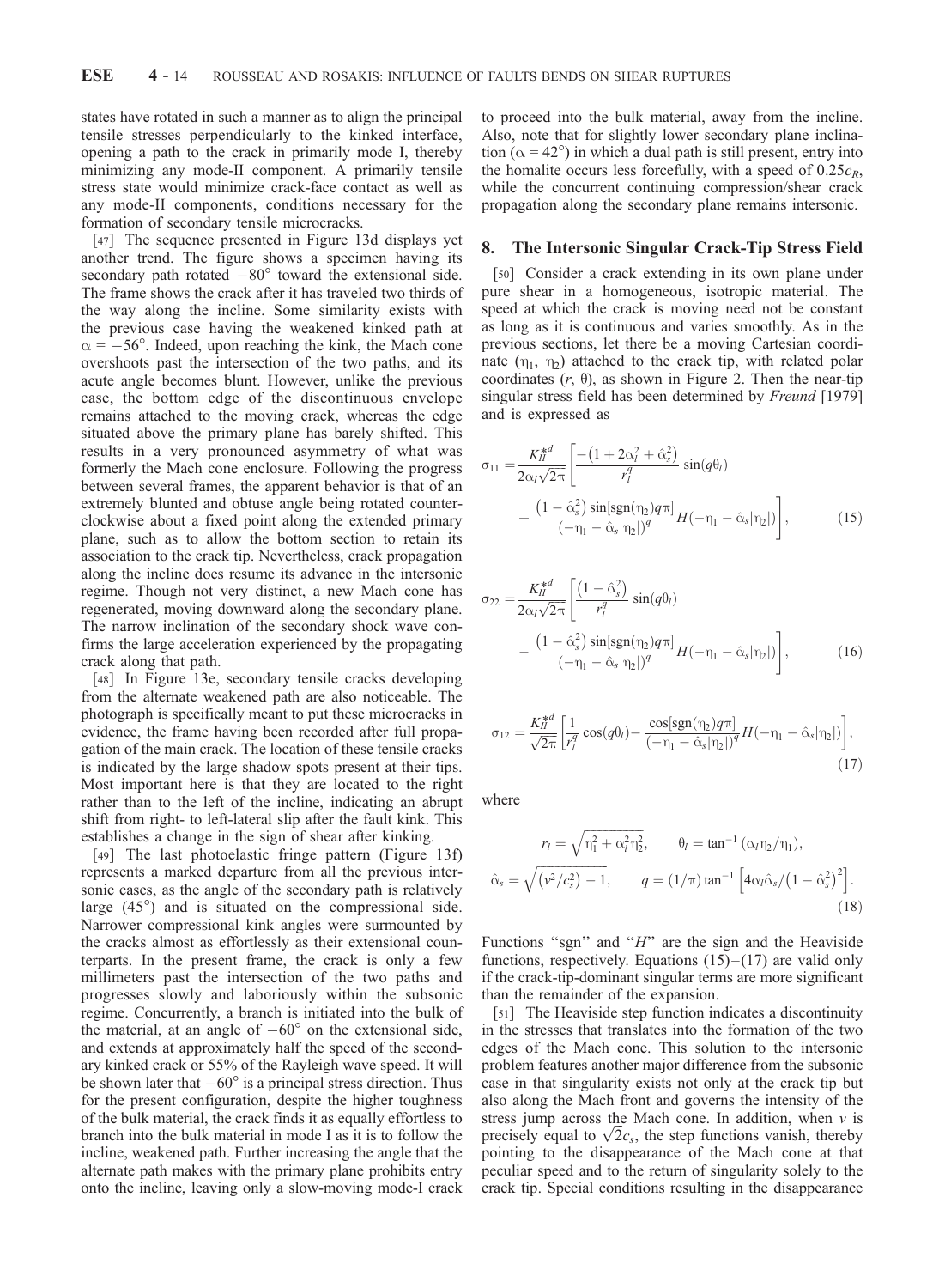states have rotated in such a manner as to align the principal tensile stresses perpendicularly to the kinked interface, opening a path to the crack in primarily mode I, thereby minimizing any mode-II component. A primarily tensile stress state would minimize crack-face contact as well as any mode-II components, conditions necessary for the formation of secondary tensile microcracks.

[47] The sequence presented in Figure 13d displays yet another trend. The figure shows a specimen having its secondary path rotated  $-80^\circ$  toward the extensional side. The frame shows the crack after it has traveled two thirds of the way along the incline. Some similarity exists with the previous case having the weakened kinked path at  $\alpha = -56^{\circ}$ . Indeed, upon reaching the kink, the Mach cone overshoots past the intersection of the two paths, and its acute angle becomes blunt. However, unlike the previous case, the bottom edge of the discontinuous envelope remains attached to the moving crack, whereas the edge situated above the primary plane has barely shifted. This results in a very pronounced asymmetry of what was formerly the Mach cone enclosure. Following the progress between several frames, the apparent behavior is that of an extremely blunted and obtuse angle being rotated counterclockwise about a fixed point along the extended primary plane, such as to allow the bottom section to retain its association to the crack tip. Nevertheless, crack propagation along the incline does resume its advance in the intersonic regime. Though not very distinct, a new Mach cone has regenerated, moving downward along the secondary plane. The narrow inclination of the secondary shock wave confirms the large acceleration experienced by the propagating crack along that path.

[48] In Figure 13e, secondary tensile cracks developing from the alternate weakened path are also noticeable. The photograph is specifically meant to put these microcracks in evidence, the frame having been recorded after full propagation of the main crack. The location of these tensile cracks is indicated by the large shadow spots present at their tips. Most important here is that they are located to the right rather than to the left of the incline, indicating an abrupt shift from right- to left-lateral slip after the fault kink. This establishes a change in the sign of shear after kinking.

[49] The last photoelastic fringe pattern (Figure 13f) represents a marked departure from all the previous intersonic cases, as the angle of the secondary path is relatively large  $(45^{\circ})$  and is situated on the compressional side. Narrower compressional kink angles were surmounted by the cracks almost as effortlessly as their extensional counterparts. In the present frame, the crack is only a few millimeters past the intersection of the two paths and progresses slowly and laboriously within the subsonic regime. Concurrently, a branch is initiated into the bulk of the material, at an angle of  $-60^{\circ}$  on the extensional side, and extends at approximately half the speed of the secondary kinked crack or 55% of the Rayleigh wave speed. It will be shown later that  $-60^{\circ}$  is a principal stress direction. Thus for the present configuration, despite the higher toughness of the bulk material, the crack finds it as equally effortless to branch into the bulk material in mode I as it is to follow the incline, weakened path. Further increasing the angle that the alternate path makes with the primary plane prohibits entry onto the incline, leaving only a slow-moving mode-I crack

to proceed into the bulk material, away from the incline. Also, note that for slightly lower secondary plane inclination ( $\alpha$  = 42°) in which a dual path is still present, entry into the homalite occurs less forcefully, with a speed of  $0.25c_R$ , while the concurrent continuing compression/shear crack propagation along the secondary plane remains intersonic.

## 8. The Intersonic Singular Crack-Tip Stress Field

[50] Consider a crack extending in its own plane under pure shear in a homogeneous, isotropic material. The speed at which the crack is moving need not be constant as long as it is continuous and varies smoothly. As in the previous sections, let there be a moving Cartesian coordinate  $(\eta_1, \eta_2)$  attached to the crack tip, with related polar coordinates  $(r, \theta)$ , as shown in Figure 2. Then the near-tip singular stress field has been determined by Freund [1979] and is expressed as

$$
\sigma_{11} = \frac{K_{II}^{*d}}{2\alpha_l\sqrt{2\pi}} \left[ \frac{-(1+2\alpha_l^2 + \hat{\alpha}_s^2)}{r_l^q} \sin(q\theta_l) + \frac{(1-\hat{\alpha}_s^2)\sin[\text{sgn}(\eta_2)q\pi]}{(-\eta_1 - \hat{\alpha}_s|\eta_2|)^q} H(-\eta_1 - \hat{\alpha}_s|\eta_2|) \right],
$$
\n(15)

$$
\sigma_{22} = \frac{K_{II}^{*d}}{2\alpha_l\sqrt{2\pi}} \left[ \frac{\left(1 - \hat{\alpha}_s^2\right)}{r_l^q} \sin(q\theta_l) - \frac{\left(1 - \hat{\alpha}_s^2\right) \sin[\text{sgn}(\eta_2)q\pi]}{(-\eta_1 - \hat{\alpha}_s|\eta_2|)^q} H(-\eta_1 - \hat{\alpha}_s|\eta_2|) \right],\tag{16}
$$

$$
\sigma_{12} = \frac{K_{II}^{*d}}{\sqrt{2\pi}} \left[ \frac{1}{r_l^q} \cos(q\theta_l) - \frac{\cos[\text{sgn}(\eta_2)q\pi]}{(-\eta_1 - \hat{\alpha}_s|\eta_2|)^q} H(-\eta_1 - \hat{\alpha}_s|\eta_2|) \right],\tag{17}
$$

where

$$
r_{l} = \sqrt{\eta_{l}^{2} + \alpha_{l}^{2} \eta_{2}^{2}}, \qquad \theta_{l} = \tan^{-1} (\alpha_{l} \eta_{2} / \eta_{1}),
$$
  

$$
\hat{\alpha}_{s} = \sqrt{(\nu^{2} / c_{s}^{2}) - 1}, \qquad q = (1 / \pi) \tan^{-1} \left[ 4 \alpha_{l} \hat{\alpha}_{s} / (1 - \hat{\alpha}_{s}^{2})^{2} \right].
$$
\n(18)

Functions "sgn" and " $H$ " are the sign and the Heaviside functions, respectively. Equations  $(15)$ – $(17)$  are valid only if the crack-tip-dominant singular terms are more significant than the remainder of the expansion.

[51] The Heaviside step function indicates a discontinuity in the stresses that translates into the formation of the two edges of the Mach cone. This solution to the intersonic problem features another major difference from the subsonic case in that singularity exists not only at the crack tip but also along the Mach front and governs the intensity of the stress jump across the Mach cone. In addition, when  $\nu$  is stress jump across the Mach cone. In addition, when  $\nu$  is precisely equal to  $\sqrt{2}c_s$ , the step functions vanish, thereby pointing to the disappearance of the Mach cone at that peculiar speed and to the return of singularity solely to the crack tip. Special conditions resulting in the disappearance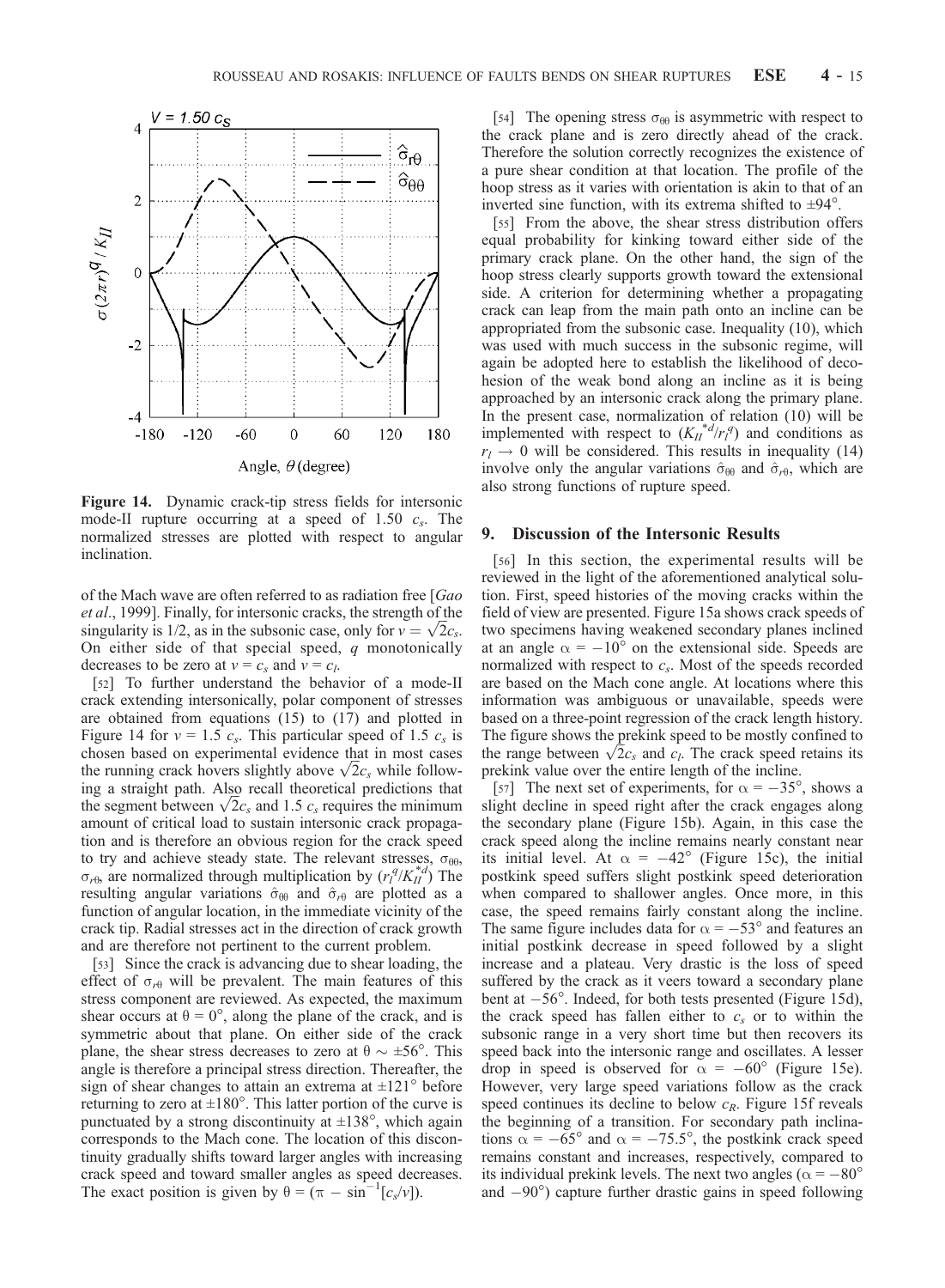

Figure 14. Dynamic crack-tip stress fields for intersonic mode-II rupture occurring at a speed of 1.50  $c_s$ . The normalized stresses are plotted with respect to angular inclination.

of the Mach wave are often referred to as radiation free [*Gao* et al., 1999]. Finally, for intersonic cracks, the strength of the *et al.*, 1999]. Finally, for intersonic cracks, the strength of the singularity is 1/2, as in the subsonic case, only for  $v = \sqrt{2}c_s$ . On either side of that special speed,  $q$  monotonically decreases to be zero at  $v = c_s$  and  $v = c_l$ .

[52] To further understand the behavior of a mode-II crack extending intersonically, polar component of stresses are obtained from equations (15) to (17) and plotted in Figure 14 for  $v = 1.5$   $c_s$ . This particular speed of 1.5  $c_s$  is chosen based on experimental evidence that in most cases chosen based on experimental evidence that in most cases<br>the running crack hovers slightly above  $\sqrt{2}c_s$  while following a straight path. Also recall theoretical predictions that ing a straight path. Also recall theoretical predictions that the segment between  $\sqrt{2}c_s$  and 1.5  $c_s$  requires the minimum amount of critical load to sustain intersonic crack propagation and is therefore an obvious region for the crack speed to try and achieve steady state. The relevant stresses,  $\sigma_{\theta\theta}$ ,  $\sigma_{r\theta}$ , are normalized through multiplication by  $(r_1^q/K_{II}^{*d})$  The resulting angular variations  $\hat{\sigma}_{\theta\theta}$  and  $\hat{\sigma}_{r\theta}$  are plotted as a function of angular location, in the immediate vicinity of the crack tip. Radial stresses act in the direction of crack growth and are therefore not pertinent to the current problem.

[53] Since the crack is advancing due to shear loading, the effect of  $\sigma_{r\theta}$  will be prevalent. The main features of this stress component are reviewed. As expected, the maximum shear occurs at  $\theta = 0^{\circ}$ , along the plane of the crack, and is symmetric about that plane. On either side of the crack plane, the shear stress decreases to zero at  $\theta \sim \pm 56^{\circ}$ . This angle is therefore a principal stress direction. Thereafter, the sign of shear changes to attain an extrema at  $\pm 121^{\circ}$  before returning to zero at  $\pm 180^\circ$ . This latter portion of the curve is punctuated by a strong discontinuity at  $\pm 138^\circ$ , which again corresponds to the Mach cone. The location of this discontinuity gradually shifts toward larger angles with increasing crack speed and toward smaller angles as speed decreases. The exact position is given by  $\theta = (\pi - \sin^{-1}[c_s/v])$ .

[54] The opening stress  $\sigma_{\theta\theta}$  is asymmetric with respect to the crack plane and is zero directly ahead of the crack. Therefore the solution correctly recognizes the existence of a pure shear condition at that location. The profile of the hoop stress as it varies with orientation is akin to that of an inverted sine function, with its extrema shifted to  $\pm 94^\circ$ .

[55] From the above, the shear stress distribution offers equal probability for kinking toward either side of the primary crack plane. On the other hand, the sign of the hoop stress clearly supports growth toward the extensional side. A criterion for determining whether a propagating crack can leap from the main path onto an incline can be appropriated from the subsonic case. Inequality (10), which was used with much success in the subsonic regime, will again be adopted here to establish the likelihood of decohesion of the weak bond along an incline as it is being approached by an intersonic crack along the primary plane. In the present case, normalization of relation (10) will be implemented with respect to  $(K_{II}^{*d}/r_I^q)$  and conditions as  $r_l \rightarrow 0$  will be considered. This results in inequality (14) involve only the angular variations  $\hat{\sigma}_{\theta\theta}$  and  $\hat{\sigma}_{r\theta}$ , which are also strong functions of rupture speed.

#### 9. Discussion of the Intersonic Results

[56] In this section, the experimental results will be reviewed in the light of the aforementioned analytical solution. First, speed histories of the moving cracks within the field of view are presented. Figure 15a shows crack speeds of two specimens having weakened secondary planes inclined at an angle  $\alpha = -10^{\circ}$  on the extensional side. Speeds are normalized with respect to  $c_s$ . Most of the speeds recorded are based on the Mach cone angle. At locations where this information was ambiguous or unavailable, speeds were based on a three-point regression of the crack length history. The figure shows the prekink speed to be mostly confined to The rigure shows the prekink speed to be mostly confined to<br>the range between  $\sqrt{2}c_s$  and  $c_l$ . The crack speed retains its prekink value over the entire length of the incline.

[57] The next set of experiments, for  $\alpha = -35^{\circ}$ , shows a slight decline in speed right after the crack engages along the secondary plane (Figure 15b). Again, in this case the crack speed along the incline remains nearly constant near its initial level. At  $\alpha = -42^{\circ}$  (Figure 15c), the initial postkink speed suffers slight postkink speed deterioration when compared to shallower angles. Once more, in this case, the speed remains fairly constant along the incline. The same figure includes data for  $\alpha = -53^{\circ}$  and features an initial postkink decrease in speed followed by a slight increase and a plateau. Very drastic is the loss of speed suffered by the crack as it veers toward a secondary plane bent at  $-56^\circ$ . Indeed, for both tests presented (Figure 15d), the crack speed has fallen either to  $c_s$  or to within the subsonic range in a very short time but then recovers its speed back into the intersonic range and oscillates. A lesser drop in speed is observed for  $\alpha = -60^{\circ}$  (Figure 15e). However, very large speed variations follow as the crack speed continues its decline to below  $c_R$ . Figure 15f reveals the beginning of a transition. For secondary path inclinations  $\alpha = -65^{\circ}$  and  $\alpha = -75.5^{\circ}$ , the postkink crack speed remains constant and increases, respectively, compared to its individual prekink levels. The next two angles ( $\alpha = -80^{\circ}$ and  $-90^{\circ}$ ) capture further drastic gains in speed following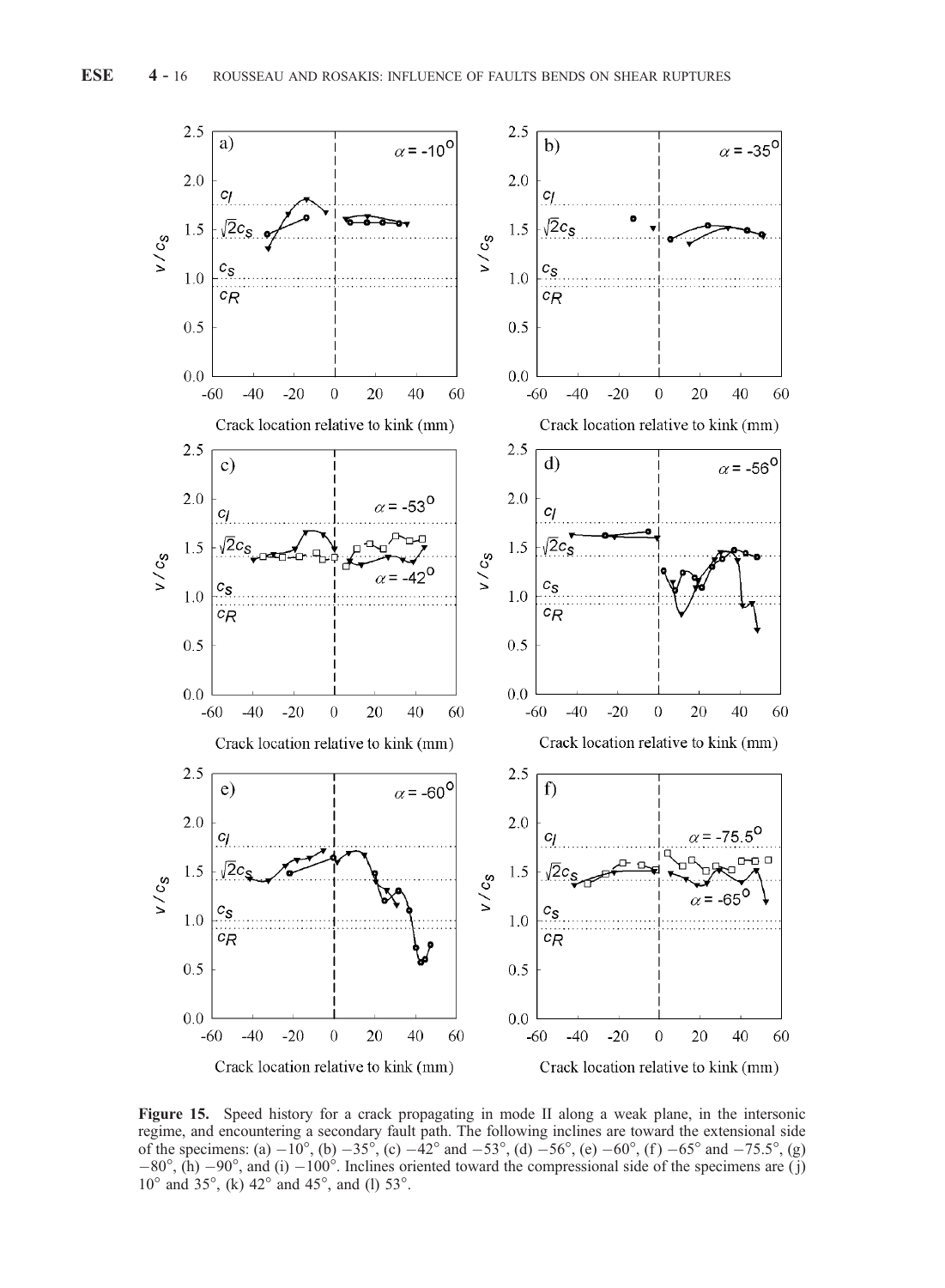

Figure 15. Speed history for a crack propagating in mode II along a weak plane, in the intersonic regime, and encountering a secondary fault path. The following inclines are toward the extensional side of the specimens: (a)  $-10^{\circ}$ , (b)  $-35^{\circ}$ , (c)  $-42^{\circ}$  and  $-53^{\circ}$ , (d)  $-56^{\circ}$ , (e)  $-60^{\circ}$ , (f)  $-65^{\circ}$  and  $-75.5^{\circ}$ , (g)  $-80^{\circ}$ , (h)  $-90^{\circ}$ , and (i)  $-100^{\circ}$ . Inclines oriented toward the compressional side of the specimens are (j)  $10^{\circ}$  and  $35^{\circ}$ , (k)  $42^{\circ}$  and  $45^{\circ}$ , and (l)  $53^{\circ}$ .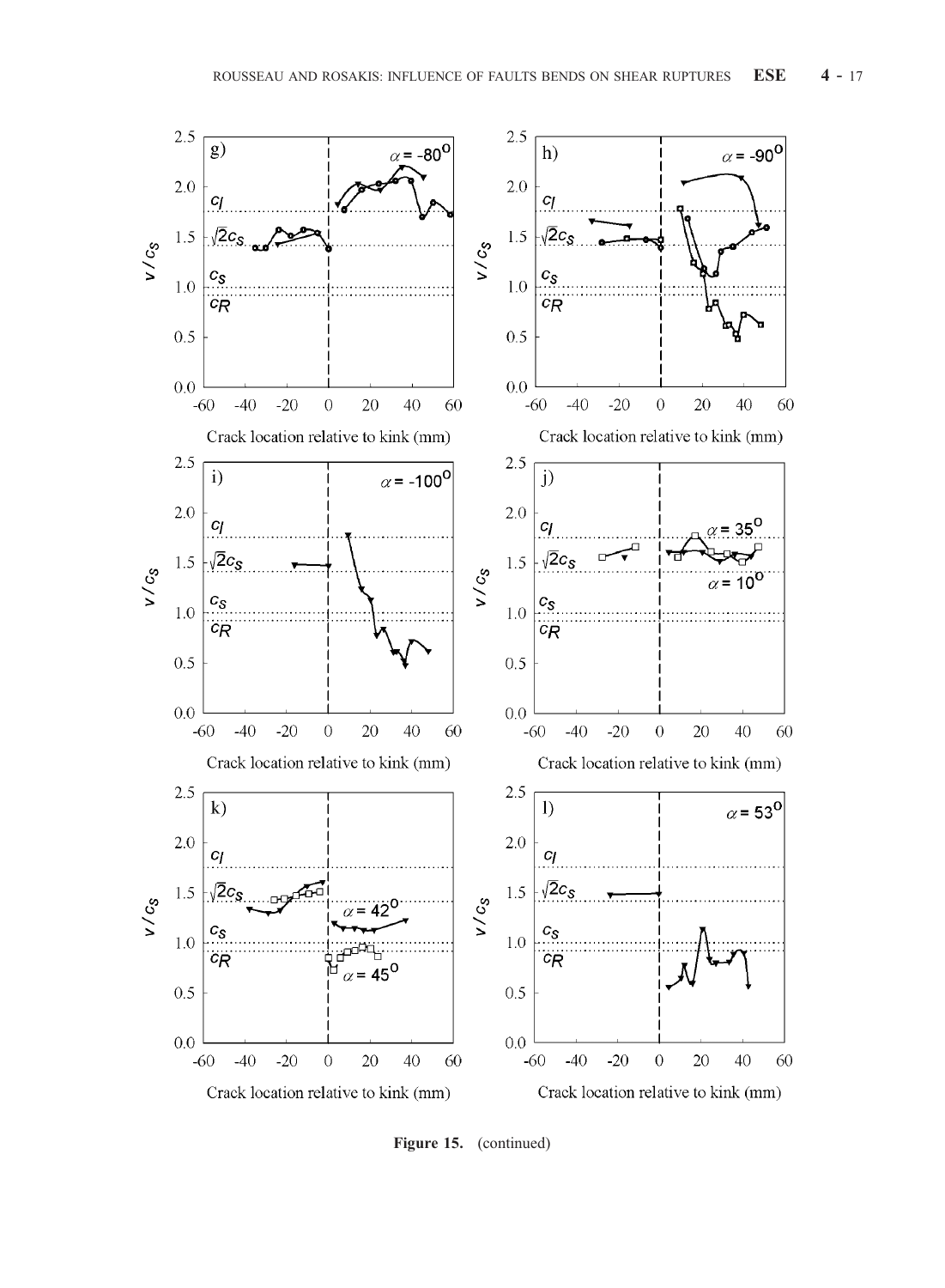

Figure 15. (continued)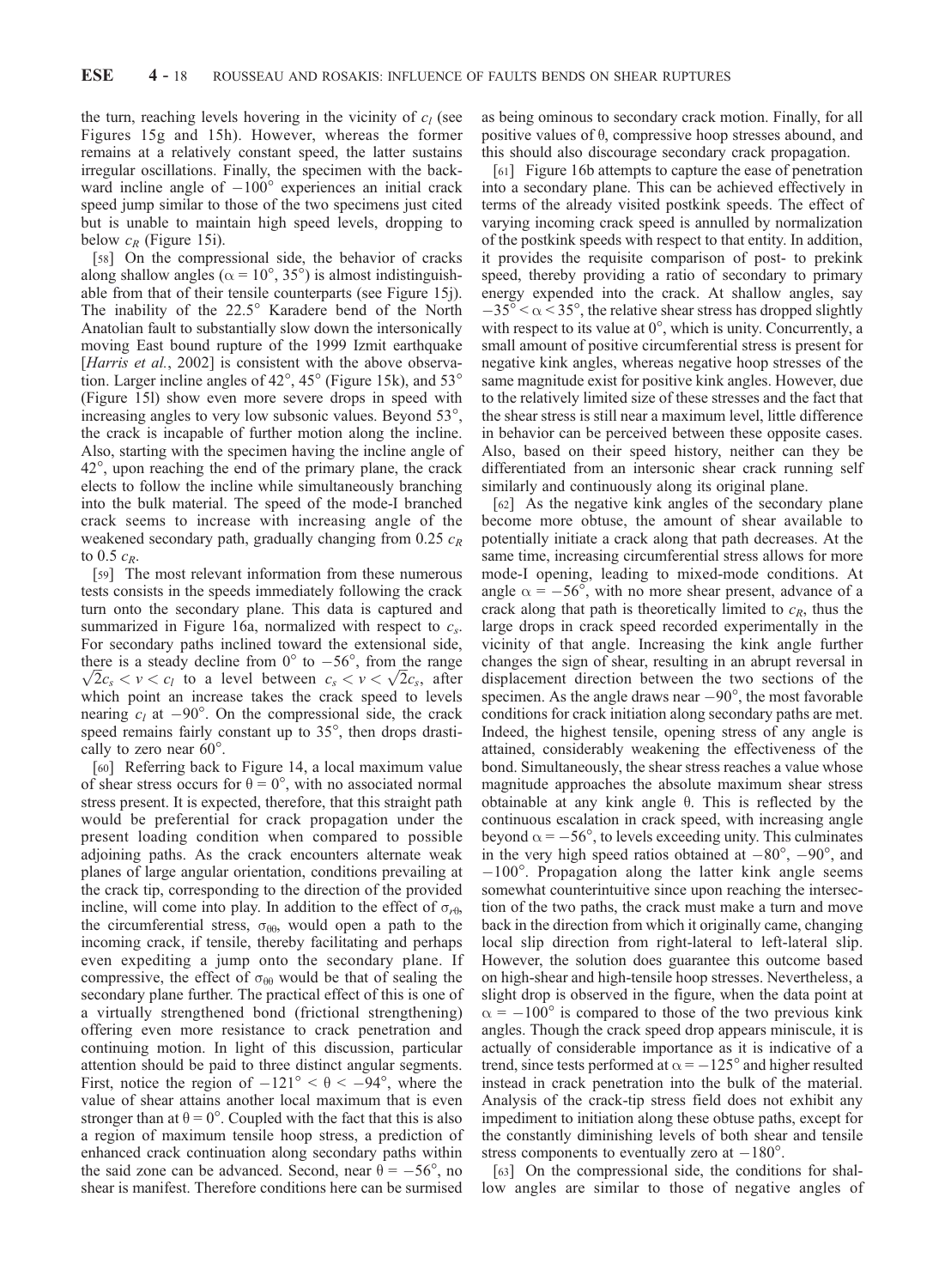the turn, reaching levels hovering in the vicinity of  $c_l$  (see Figures 15g and 15h). However, whereas the former remains at a relatively constant speed, the latter sustains irregular oscillations. Finally, the specimen with the backward incline angle of  $-100^{\circ}$  experiences an initial crack speed jump similar to those of the two specimens just cited but is unable to maintain high speed levels, dropping to below  $c_R$  (Figure 15i).

[58] On the compressional side, the behavior of cracks along shallow angles ( $\alpha = 10^{\circ}$ , 35°) is almost indistinguishable from that of their tensile counterparts (see Figure 15j). The inability of the 22.5° Karadere bend of the North Anatolian fault to substantially slow down the intersonically moving East bound rupture of the 1999 Izmit earthquake [Harris et al., 2002] is consistent with the above observation. Larger incline angles of  $42^{\circ}$ ,  $45^{\circ}$  (Figure 15k), and  $53^{\circ}$ (Figure 15l) show even more severe drops in speed with increasing angles to very low subsonic values. Beyond 53<sup>°</sup>, the crack is incapable of further motion along the incline. Also, starting with the specimen having the incline angle of  $42^{\circ}$ , upon reaching the end of the primary plane, the crack elects to follow the incline while simultaneously branching into the bulk material. The speed of the mode-I branched crack seems to increase with increasing angle of the weakened secondary path, gradually changing from  $0.25 c_R$ to  $0.5$   $c_R$ .

[59] The most relevant information from these numerous tests consists in the speeds immediately following the crack turn onto the secondary plane. This data is captured and summarized in Figure 16a, normalized with respect to  $c_s$ . For secondary paths inclined toward the extensional side, there is a steady decline from  $0^{\circ}$  to  $-56^{\circ}$ , from the range there is a steady decline from 0° to  $-56^\circ$ , from the range  $\sqrt{2}c_s < v < c_l$  to a level between  $c_s < v < \sqrt{2}c_s$ , after which point an increase takes the crack speed to levels nearing  $c_l$  at  $-90^\circ$ . On the compressional side, the crack speed remains fairly constant up to  $35^\circ$ , then drops drastically to zero near  $60^\circ$ .

[60] Referring back to Figure 14, a local maximum value of shear stress occurs for  $\theta = 0^{\circ}$ , with no associated normal stress present. It is expected, therefore, that this straight path would be preferential for crack propagation under the present loading condition when compared to possible adjoining paths. As the crack encounters alternate weak planes of large angular orientation, conditions prevailing at the crack tip, corresponding to the direction of the provided incline, will come into play. In addition to the effect of  $\sigma_{r\theta}$ , the circumferential stress,  $\sigma_{\theta\theta}$ , would open a path to the incoming crack, if tensile, thereby facilitating and perhaps even expediting a jump onto the secondary plane. If compressive, the effect of  $\sigma_{\theta\theta}$  would be that of sealing the secondary plane further. The practical effect of this is one of a virtually strengthened bond (frictional strengthening) offering even more resistance to crack penetration and continuing motion. In light of this discussion, particular attention should be paid to three distinct angular segments. First, notice the region of  $-121^{\circ} < \theta < -94^{\circ}$ , where the value of shear attains another local maximum that is even stronger than at  $\theta = 0^{\circ}$ . Coupled with the fact that this is also a region of maximum tensile hoop stress, a prediction of enhanced crack continuation along secondary paths within the said zone can be advanced. Second, near  $\theta = -56^{\circ}$ , no shear is manifest. Therefore conditions here can be surmised

as being ominous to secondary crack motion. Finally, for all positive values of  $\theta$ , compressive hoop stresses abound, and this should also discourage secondary crack propagation.

[61] Figure 16b attempts to capture the ease of penetration into a secondary plane. This can be achieved effectively in terms of the already visited postkink speeds. The effect of varying incoming crack speed is annulled by normalization of the postkink speeds with respect to that entity. In addition, it provides the requisite comparison of post- to prekink speed, thereby providing a ratio of secondary to primary energy expended into the crack. At shallow angles, say  $-35^{\circ} < \alpha < 35^{\circ}$ , the relative shear stress has dropped slightly with respect to its value at  $0^\circ$ , which is unity. Concurrently, a small amount of positive circumferential stress is present for negative kink angles, whereas negative hoop stresses of the same magnitude exist for positive kink angles. However, due to the relatively limited size of these stresses and the fact that the shear stress is still near a maximum level, little difference in behavior can be perceived between these opposite cases. Also, based on their speed history, neither can they be differentiated from an intersonic shear crack running self similarly and continuously along its original plane.

[62] As the negative kink angles of the secondary plane become more obtuse, the amount of shear available to potentially initiate a crack along that path decreases. At the same time, increasing circumferential stress allows for more mode-I opening, leading to mixed-mode conditions. At angle  $\alpha = -56^{\circ}$ , with no more shear present, advance of a crack along that path is theoretically limited to  $c_R$ , thus the large drops in crack speed recorded experimentally in the vicinity of that angle. Increasing the kink angle further changes the sign of shear, resulting in an abrupt reversal in displacement direction between the two sections of the specimen. As the angle draws near  $-90^{\circ}$ , the most favorable conditions for crack initiation along secondary paths are met. Indeed, the highest tensile, opening stress of any angle is attained, considerably weakening the effectiveness of the bond. Simultaneously, the shear stress reaches a value whose magnitude approaches the absolute maximum shear stress obtainable at any kink angle  $\theta$ . This is reflected by the continuous escalation in crack speed, with increasing angle beyond  $\alpha = -56^{\circ}$ , to levels exceeding unity. This culminates in the very high speed ratios obtained at  $-80^{\circ}$ ,  $-90^{\circ}$ , and  $-100^{\circ}$ . Propagation along the latter kink angle seems somewhat counterintuitive since upon reaching the intersection of the two paths, the crack must make a turn and move back in the direction from which it originally came, changing local slip direction from right-lateral to left-lateral slip. However, the solution does guarantee this outcome based on high-shear and high-tensile hoop stresses. Nevertheless, a slight drop is observed in the figure, when the data point at  $\alpha$  =  $-100^{\circ}$  is compared to those of the two previous kink angles. Though the crack speed drop appears miniscule, it is actually of considerable importance as it is indicative of a trend, since tests performed at  $\alpha = -125^{\circ}$  and higher resulted instead in crack penetration into the bulk of the material. Analysis of the crack-tip stress field does not exhibit any impediment to initiation along these obtuse paths, except for the constantly diminishing levels of both shear and tensile stress components to eventually zero at  $-180^\circ$ .

[63] On the compressional side, the conditions for shallow angles are similar to those of negative angles of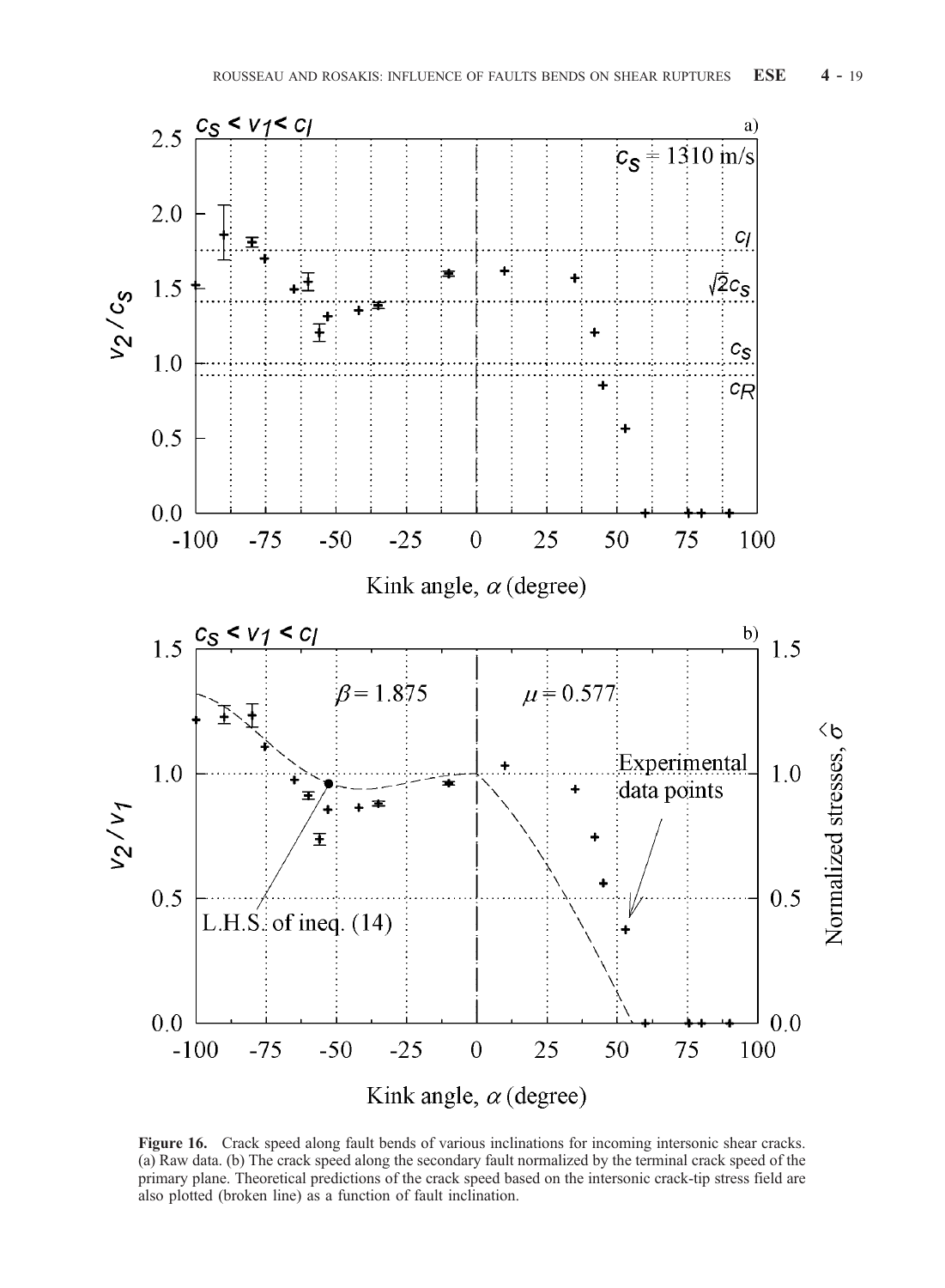

Figure 16. Crack speed along fault bends of various inclinations for incoming intersonic shear cracks. (a) Raw data. (b) The crack speed along the secondary fault normalized by the terminal crack speed of the primary plane. Theoretical predictions of the crack speed based on the intersonic crack-tip stress field are also plotted (broken line) as a function of fault inclination.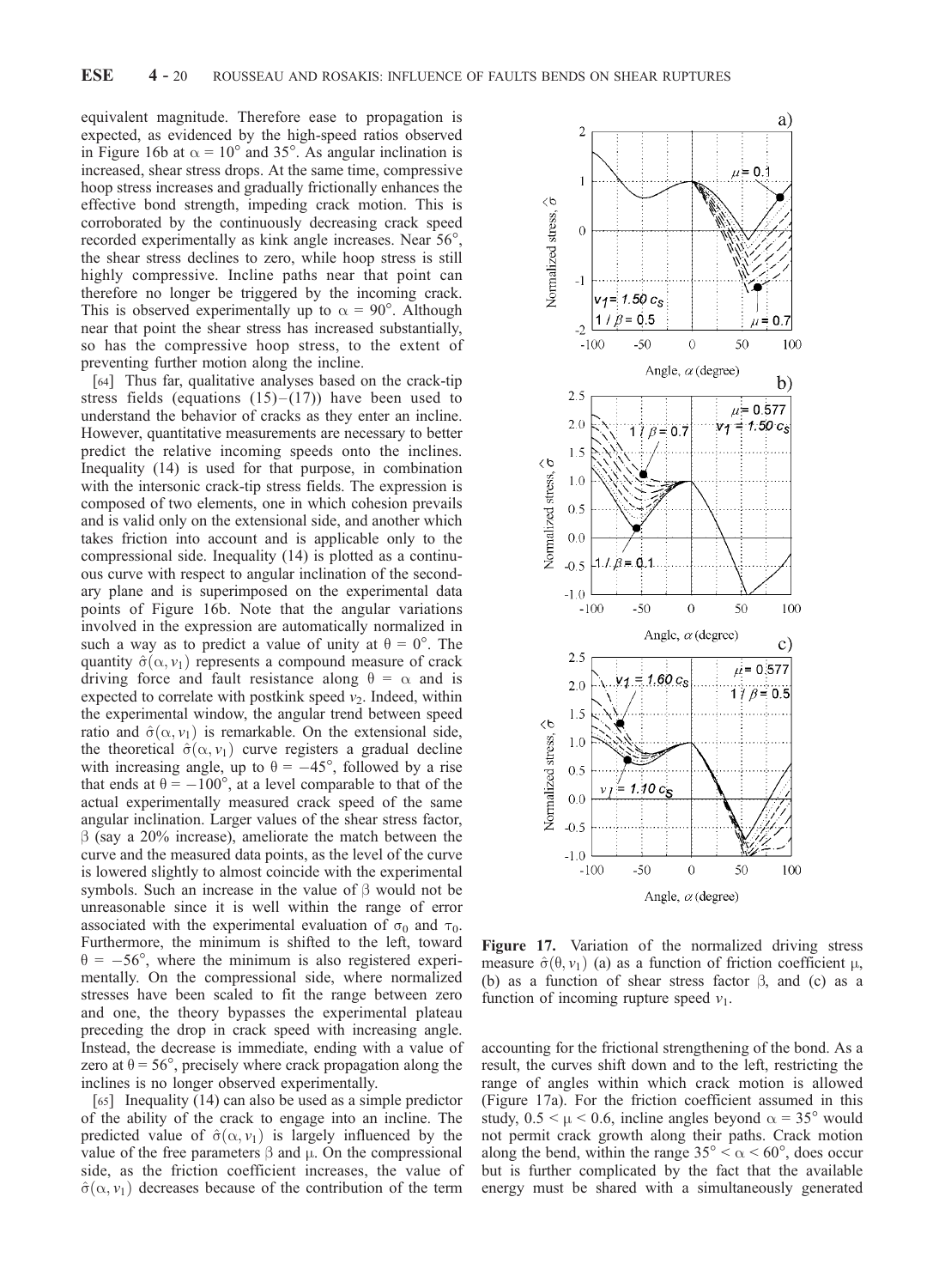equivalent magnitude. Therefore ease to propagation is expected, as evidenced by the high-speed ratios observed in Figure 16b at  $\alpha = 10^{\circ}$  and 35°. As angular inclination is increased, shear stress drops. At the same time, compressive hoop stress increases and gradually frictionally enhances the effective bond strength, impeding crack motion. This is corroborated by the continuously decreasing crack speed recorded experimentally as kink angle increases. Near 56°, the shear stress declines to zero, while hoop stress is still highly compressive. Incline paths near that point can therefore no longer be triggered by the incoming crack. This is observed experimentally up to  $\alpha = 90^\circ$ . Although near that point the shear stress has increased substantially, so has the compressive hoop stress, to the extent of preventing further motion along the incline.

[64] Thus far, qualitative analyses based on the crack-tip stress fields (equations  $(15)$ – $(17)$ ) have been used to understand the behavior of cracks as they enter an incline. However, quantitative measurements are necessary to better predict the relative incoming speeds onto the inclines. Inequality (14) is used for that purpose, in combination with the intersonic crack-tip stress fields. The expression is composed of two elements, one in which cohesion prevails and is valid only on the extensional side, and another which takes friction into account and is applicable only to the compressional side. Inequality (14) is plotted as a continuous curve with respect to angular inclination of the secondary plane and is superimposed on the experimental data points of Figure 16b. Note that the angular variations involved in the expression are automatically normalized in such a way as to predict a value of unity at  $\theta = 0^{\circ}$ . The quantity  $\hat{\sigma}(\alpha, v_1)$  represents a compound measure of crack driving force and fault resistance along  $\theta = \alpha$  and is expected to correlate with postkink speed  $v_2$ . Indeed, within the experimental window, the angular trend between speed ratio and  $\hat{\sigma}(\alpha, \nu_1)$  is remarkable. On the extensional side, the theoretical  $\hat{\sigma}(\alpha, \nu_1)$  curve registers a gradual decline with increasing angle, up to  $\theta = -45^{\circ}$ , followed by a rise that ends at  $\theta = -100^{\circ}$ , at a level comparable to that of the actual experimentally measured crack speed of the same angular inclination. Larger values of the shear stress factor,  $\beta$  (say a 20% increase), ameliorate the match between the curve and the measured data points, as the level of the curve is lowered slightly to almost coincide with the experimental symbols. Such an increase in the value of  $\beta$  would not be unreasonable since it is well within the range of error associated with the experimental evaluation of  $\sigma_0$  and  $\tau_0$ . Furthermore, the minimum is shifted to the left, toward  $\theta = -56^{\circ}$ , where the minimum is also registered experimentally. On the compressional side, where normalized stresses have been scaled to fit the range between zero and one, the theory bypasses the experimental plateau preceding the drop in crack speed with increasing angle. Instead, the decrease is immediate, ending with a value of zero at  $\theta = 56^{\circ}$ , precisely where crack propagation along the inclines is no longer observed experimentally.

[65] Inequality (14) can also be used as a simple predictor of the ability of the crack to engage into an incline. The predicted value of  $\hat{\sigma}(\alpha, \nu_1)$  is largely influenced by the value of the free parameters  $\beta$  and  $\mu$ . On the compressional side, as the friction coefficient increases, the value of  $\hat{\sigma}(\alpha, \nu_1)$  decreases because of the contribution of the term



Figure 17. Variation of the normalized driving stress measure  $\hat{\sigma}(\theta, v_1)$  (a) as a function of friction coefficient  $\mu$ , (b) as a function of shear stress factor  $\beta$ , and (c) as a function of incoming rupture speed  $v_1$ .

accounting for the frictional strengthening of the bond. As a result, the curves shift down and to the left, restricting the range of angles within which crack motion is allowed (Figure 17a). For the friction coefficient assumed in this study,  $0.5 < \mu < 0.6$ , incline angles beyond  $\alpha = 35^{\circ}$  would not permit crack growth along their paths. Crack motion along the bend, within the range  $35^{\circ} < \alpha < 60^{\circ}$ , does occur but is further complicated by the fact that the available energy must be shared with a simultaneously generated